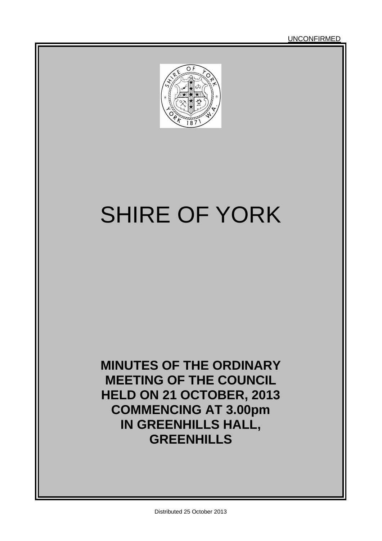UNCONFIRMED



# SHIRE OF YORK

**MINUTES OF THE ORDINARY MEETING OF THE COUNCIL HELD ON 21 OCTOBER, 2013 COMMENCING AT 3.00pm IN GREENHILLS HALL, GREENHILLS**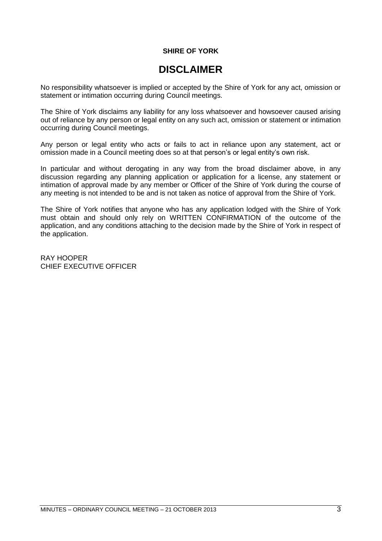#### **SHIRE OF YORK**

### **DISCLAIMER**

No responsibility whatsoever is implied or accepted by the Shire of York for any act, omission or statement or intimation occurring during Council meetings.

The Shire of York disclaims any liability for any loss whatsoever and howsoever caused arising out of reliance by any person or legal entity on any such act, omission or statement or intimation occurring during Council meetings.

Any person or legal entity who acts or fails to act in reliance upon any statement, act or omission made in a Council meeting does so at that person's or legal entity's own risk.

In particular and without derogating in any way from the broad disclaimer above, in any discussion regarding any planning application or application for a license, any statement or intimation of approval made by any member or Officer of the Shire of York during the course of any meeting is not intended to be and is not taken as notice of approval from the Shire of York.

The Shire of York notifies that anyone who has any application lodged with the Shire of York must obtain and should only rely on WRITTEN CONFIRMATION of the outcome of the application, and any conditions attaching to the decision made by the Shire of York in respect of the application.

RAY HOOPER CHIEF EXECUTIVE OFFICER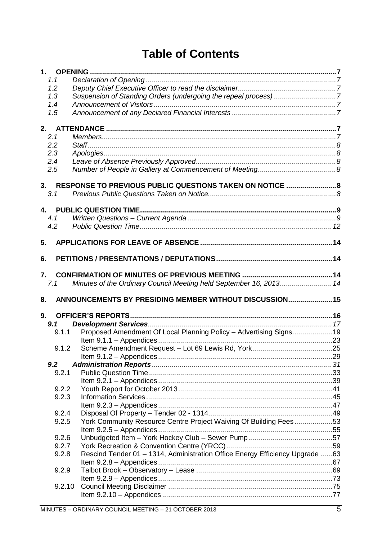# **Table of Contents**

| 1.1       |                                                                              |  |
|-----------|------------------------------------------------------------------------------|--|
| 1.2       |                                                                              |  |
| 1.3       | Suspension of Standing Orders (undergoing the repeal process) 7              |  |
| 1.4       |                                                                              |  |
| 1.5       |                                                                              |  |
|           |                                                                              |  |
| 2.1       |                                                                              |  |
| 2.2       |                                                                              |  |
| 2.3       |                                                                              |  |
| 2.4       |                                                                              |  |
| 2.5       |                                                                              |  |
|           |                                                                              |  |
|           | 3. RESPONSE TO PREVIOUS PUBLIC QUESTIONS TAKEN ON NOTICE  8                  |  |
| 3.1       |                                                                              |  |
|           |                                                                              |  |
|           |                                                                              |  |
| 4.1       |                                                                              |  |
| 4.2       |                                                                              |  |
| 5.        |                                                                              |  |
|           |                                                                              |  |
| 6.        |                                                                              |  |
| 7.        |                                                                              |  |
| 7.1       | Minutes of the Ordinary Council Meeting held September 16, 2013 14           |  |
|           |                                                                              |  |
| 8.        | ANNOUNCEMENTS BY PRESIDING MEMBER WITHOUT DISCUSSION 15                      |  |
|           |                                                                              |  |
| 9.<br>9.1 |                                                                              |  |
| 9.1.1     |                                                                              |  |
|           | Proposed Amendment Of Local Planning Policy - Advertising Signs19            |  |
| 9.1.2     |                                                                              |  |
|           |                                                                              |  |
| 9.2       |                                                                              |  |
| 9.2.1     |                                                                              |  |
|           |                                                                              |  |
| 9.2.2     |                                                                              |  |
| 9.2.3     |                                                                              |  |
|           |                                                                              |  |
| 9.2.4     |                                                                              |  |
| 9.2.5     | York Community Resource Centre Project Waiving Of Building Fees53            |  |
|           |                                                                              |  |
| 9.2.6     |                                                                              |  |
| 9.2.7     |                                                                              |  |
| 9.2.8     | Rescind Tender 01 - 1314, Administration Office Energy Efficiency Upgrade 63 |  |
|           |                                                                              |  |
| 9.2.9     |                                                                              |  |
|           |                                                                              |  |
| 9.2.10    |                                                                              |  |
|           |                                                                              |  |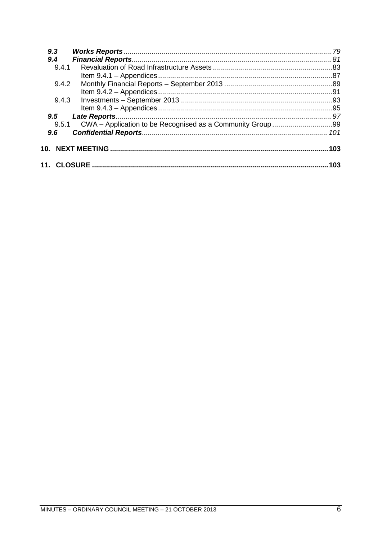| 9.3   |      |
|-------|------|
| 9.4   |      |
| 9.4.1 |      |
|       |      |
| 9.4.2 |      |
|       |      |
| 9.4.3 |      |
|       |      |
| 9.5   |      |
| 9.5.1 |      |
| 9.6   |      |
|       | .103 |
|       | 103  |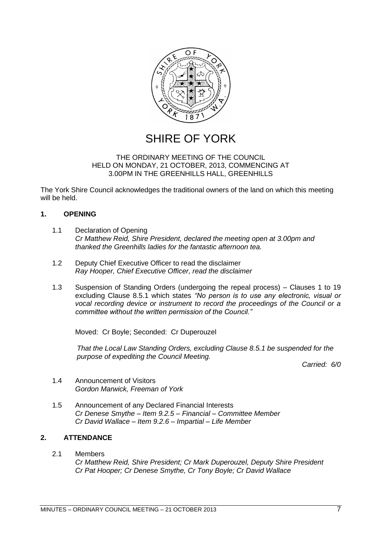

### SHIRE OF YORK

#### THE ORDINARY MEETING OF THE COUNCIL HELD ON MONDAY, 21 OCTOBER, 2013, COMMENCING AT 3.00PM IN THE GREENHILLS HALL, GREENHILLS

The York Shire Council acknowledges the traditional owners of the land on which this meeting will be held.

#### <span id="page-6-0"></span>**1. OPENING**

- <span id="page-6-1"></span>1.1 Declaration of Opening *Cr Matthew Reid, Shire President, declared the meeting open at 3.00pm and thanked the Greenhills ladies for the fantastic afternoon tea.*
- <span id="page-6-2"></span>1.2 Deputy Chief Executive Officer to read the disclaimer *Ray Hooper, Chief Executive Officer, read the disclaimer*
- <span id="page-6-3"></span>1.3 Suspension of Standing Orders (undergoing the repeal process) – Clauses 1 to 19 excluding Clause 8.5.1 which states "No person is to use any electronic, visual or *vocal recording device or instrument to record the proceedings of the Council or a committee without the written permission of the Council.‖*

Moved: Cr Boyle; Seconded: Cr Duperouzel

*That the Local Law Standing Orders, excluding Clause 8.5.1 be suspended for the purpose of expediting the Council Meeting.*

*Carried: 6/0*

- <span id="page-6-4"></span>1.4 Announcement of Visitors *Gordon Marwick, Freeman of York*
- <span id="page-6-5"></span>1.5 Announcement of any Declared Financial Interests *Cr Denese Smythe – Item 9.2.5 – Financial – Committee Member Cr David Wallace – Item 9.2.6 – Impartial – Life Member*

#### <span id="page-6-6"></span>**2. ATTENDANCE**

<span id="page-6-8"></span><span id="page-6-7"></span>2.1 Members *Cr Matthew Reid, Shire President; Cr Mark Duperouzel, Deputy Shire President Cr Pat Hooper; Cr Denese Smythe, Cr Tony Boyle; Cr David Wallace*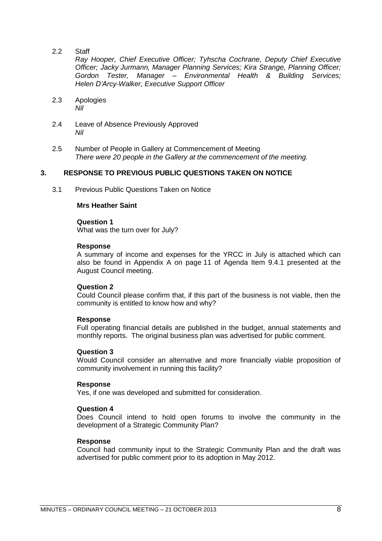2.2 Staff

*Ray Hooper, Chief Executive Officer; Tyhscha Cochrane, Deputy Chief Executive Officer; Jacky Jurmann, Manager Planning Services; Kira Strange, Planning Officer; Gordon Tester, Manager – Environmental Health & Building Services; Helen D'Arcy-Walker, Executive Support Officer*

- <span id="page-7-0"></span>2.3 Apologies *Nil*
- <span id="page-7-1"></span>2.4 Leave of Absence Previously Approved *Nil*
- <span id="page-7-2"></span>2.5 Number of People in Gallery at Commencement of Meeting *There were 20 people in the Gallery at the commencement of the meeting.*

#### <span id="page-7-3"></span>**3. RESPONSE TO PREVIOUS PUBLIC QUESTIONS TAKEN ON NOTICE**

<span id="page-7-4"></span>3.1 Previous Public Questions Taken on Notice

#### **Mrs Heather Saint**

#### **Question 1**

What was the turn over for July?

#### **Response**

A summary of income and expenses for the YRCC in July is attached which can also be found in Appendix A on page 11 of Agenda Item 9.4.1 presented at the August Council meeting.

#### **Question 2**

Could Council please confirm that, if this part of the business is not viable, then the community is entitled to know how and why?

#### **Response**

Full operating financial details are published in the budget, annual statements and monthly reports. The original business plan was advertised for public comment.

#### **Question 3**

Would Council consider an alternative and more financially viable proposition of community involvement in running this facility?

#### **Response**

Yes, if one was developed and submitted for consideration.

#### **Question 4**

Does Council intend to hold open forums to involve the community in the development of a Strategic Community Plan?

#### **Response**

Council had community input to the Strategic Community Plan and the draft was advertised for public comment prior to its adoption in May 2012.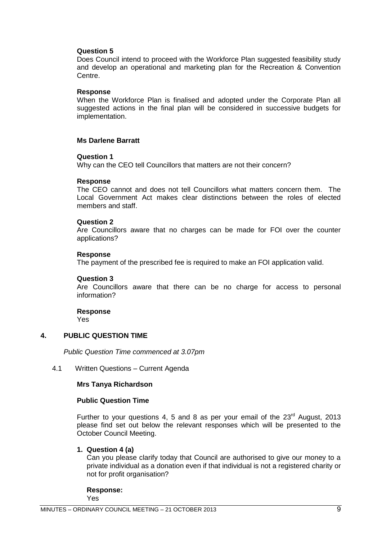#### **Question 5**

Does Council intend to proceed with the Workforce Plan suggested feasibility study and develop an operational and marketing plan for the Recreation & Convention Centre.

#### **Response**

When the Workforce Plan is finalised and adopted under the Corporate Plan all suggested actions in the final plan will be considered in successive budgets for implementation.

#### **Ms Darlene Barratt**

#### **Question 1**

Why can the CEO tell Councillors that matters are not their concern?

#### **Response**

The CEO cannot and does not tell Councillors what matters concern them. The Local Government Act makes clear distinctions between the roles of elected members and staff.

#### **Question 2**

Are Councillors aware that no charges can be made for FOI over the counter applications?

#### **Response**

The payment of the prescribed fee is required to make an FOI application valid.

#### **Question 3**

Are Councillors aware that there can be no charge for access to personal information?

**Response** Yes

#### <span id="page-8-0"></span>**4. PUBLIC QUESTION TIME**

*Public Question Time commenced at 3.07pm*

#### <span id="page-8-1"></span>4.1 Written Questions – Current Agenda

#### **Mrs Tanya Richardson**

#### **Public Question Time**

Further to your questions 4, 5 and 8 as per your email of the  $23<sup>rd</sup>$  August, 2013 please find set out below the relevant responses which will be presented to the October Council Meeting.

#### **1. Question 4 (a)**

Can you please clarify today that Council are authorised to give our money to a private individual as a donation even if that individual is not a registered charity or not for profit organisation?

**Response:** Yes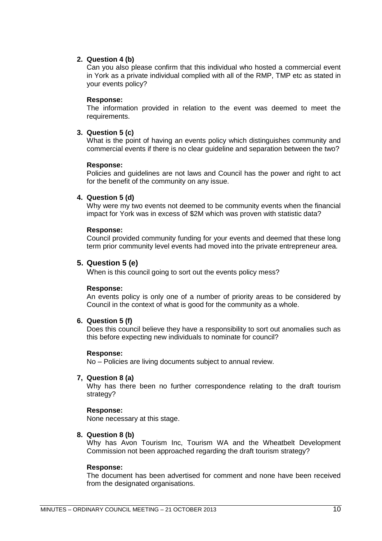#### **2. Question 4 (b)**

Can you also please confirm that this individual who hosted a commercial event in York as a private individual complied with all of the RMP, TMP etc as stated in your events policy?

#### **Response:**

The information provided in relation to the event was deemed to meet the requirements.

#### **3. Question 5 (c)**

What is the point of having an events policy which distinguishes community and commercial events if there is no clear guideline and separation between the two?

#### **Response:**

Policies and guidelines are not laws and Council has the power and right to act for the benefit of the community on any issue.

#### **4. Question 5 (d)**

Why were my two events not deemed to be community events when the financial impact for York was in excess of \$2M which was proven with statistic data?

#### **Response:**

Council provided community funding for your events and deemed that these long term prior community level events had moved into the private entrepreneur area.

#### **5. Question 5 (e)**

When is this council going to sort out the events policy mess?

#### **Response:**

An events policy is only one of a number of priority areas to be considered by Council in the context of what is good for the community as a whole.

#### **6. Question 5 (f)**

Does this council believe they have a responsibility to sort out anomalies such as this before expecting new individuals to nominate for council?

#### **Response:**

No – Policies are living documents subject to annual review.

#### **7, Question 8 (a)**

Why has there been no further correspondence relating to the draft tourism strategy?

#### **Response:**

None necessary at this stage.

#### **8. Question 8 (b)**

Why has Avon Tourism Inc, Tourism WA and the Wheatbelt Development Commission not been approached regarding the draft tourism strategy?

#### **Response:**

The document has been advertised for comment and none have been received from the designated organisations.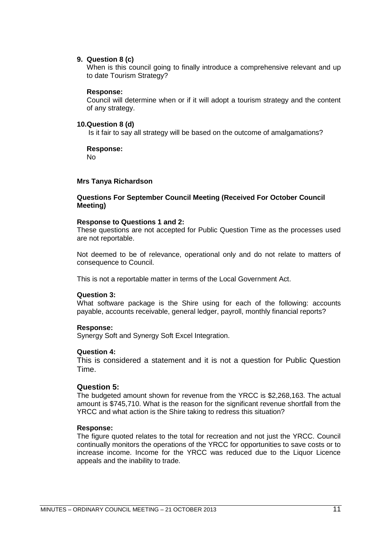#### **9. Question 8 (c)**

When is this council going to finally introduce a comprehensive relevant and up to date Tourism Strategy?

#### **Response:**

Council will determine when or if it will adopt a tourism strategy and the content of any strategy.

#### **10.Question 8 (d)**

Is it fair to say all strategy will be based on the outcome of amalgamations?

#### **Response:**

No

#### **Mrs Tanya Richardson**

#### **Questions For September Council Meeting (Received For October Council Meeting)**

#### **Response to Questions 1 and 2:**

These questions are not accepted for Public Question Time as the processes used are not reportable.

Not deemed to be of relevance, operational only and do not relate to matters of consequence to Council.

This is not a reportable matter in terms of the Local Government Act.

#### **Question 3:**

What software package is the Shire using for each of the following: accounts payable, accounts receivable, general ledger, payroll, monthly financial reports?

#### **Response:**

Synergy Soft and Synergy Soft Excel Integration.

#### **Question 4:**

This is considered a statement and it is not a question for Public Question Time.

#### **Question 5:**

The budgeted amount shown for revenue from the YRCC is \$2,268,163. The actual amount is \$745,710. What is the reason for the significant revenue shortfall from the YRCC and what action is the Shire taking to redress this situation?

#### **Response:**

The figure quoted relates to the total for recreation and not just the YRCC. Council continually monitors the operations of the YRCC for opportunities to save costs or to increase income. Income for the YRCC was reduced due to the Liquor Licence appeals and the inability to trade.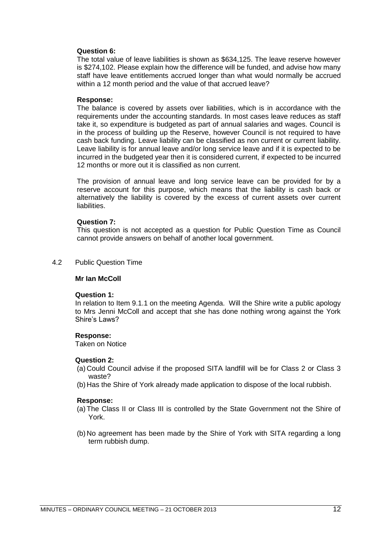#### **Question 6:**

The total value of leave liabilities is shown as \$634,125. The leave reserve however is \$274,102. Please explain how the difference will be funded, and advise how many staff have leave entitlements accrued longer than what would normally be accrued within a 12 month period and the value of that accrued leave?

#### **Response:**

The balance is covered by assets over liabilities, which is in accordance with the requirements under the accounting standards. In most cases leave reduces as staff take it, so expenditure is budgeted as part of annual salaries and wages. Council is in the process of building up the Reserve, however Council is not required to have cash back funding. Leave liability can be classified as non current or current liability. Leave liability is for annual leave and/or long service leave and if it is expected to be incurred in the budgeted year then it is considered current, if expected to be incurred 12 months or more out it is classified as non current.

The provision of annual leave and long service leave can be provided for by a reserve account for this purpose, which means that the liability is cash back or alternatively the liability is covered by the excess of current assets over current liabilities.

#### **Question 7:**

This question is not accepted as a question for Public Question Time as Council cannot provide answers on behalf of another local government.

<span id="page-11-0"></span>4.2 Public Question Time

#### **Mr Ian McColl**

#### **Question 1:**

In relation to Item 9.1.1 on the meeting Agenda. Will the Shire write a public apology to Mrs Jenni McColl and accept that she has done nothing wrong against the York Shire's Laws?

#### **Response:**

Taken on Notice

#### **Question 2:**

- (a) Could Council advise if the proposed SITA landfill will be for Class 2 or Class 3 waste?
- (b) Has the Shire of York already made application to dispose of the local rubbish.

#### **Response:**

- (a) The Class II or Class III is controlled by the State Government not the Shire of York.
- (b) No agreement has been made by the Shire of York with SITA regarding a long term rubbish dump.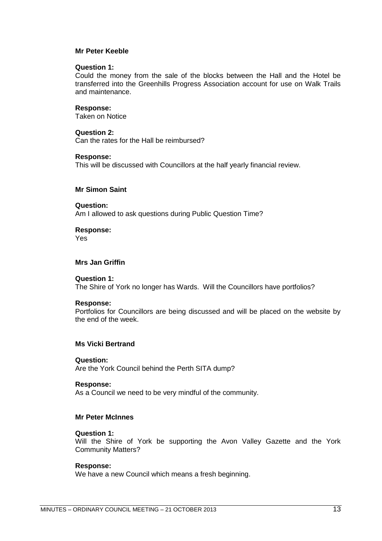#### **Mr Peter Keeble**

#### **Question 1:**

Could the money from the sale of the blocks between the Hall and the Hotel be transferred into the Greenhills Progress Association account for use on Walk Trails and maintenance.

#### **Response:**

Taken on Notice

#### **Question 2:**

Can the rates for the Hall be reimbursed?

#### **Response:**

This will be discussed with Councillors at the half yearly financial review.

#### **Mr Simon Saint**

#### **Question:**

Am I allowed to ask questions during Public Question Time?

**Response:**

Yes

#### **Mrs Jan Griffin**

#### **Question 1:**

The Shire of York no longer has Wards. Will the Councillors have portfolios?

#### **Response:**

Portfolios for Councillors are being discussed and will be placed on the website by the end of the week.

#### **Ms Vicki Bertrand**

#### **Question:**

Are the York Council behind the Perth SITA dump?

#### **Response:**

As a Council we need to be very mindful of the community.

#### **Mr Peter McInnes**

#### **Question 1:**

Will the Shire of York be supporting the Avon Valley Gazette and the York Community Matters?

#### **Response:**

We have a new Council which means a fresh beginning.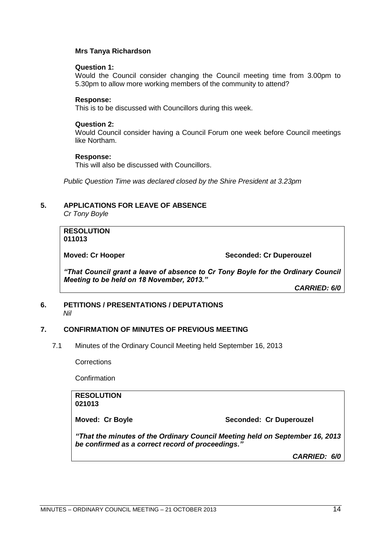#### **Mrs Tanya Richardson**

#### **Question 1:**

Would the Council consider changing the Council meeting time from 3.00pm to 5.30pm to allow more working members of the community to attend?

#### **Response:**

This is to be discussed with Councillors during this week.

#### **Question 2:**

Would Council consider having a Council Forum one week before Council meetings like Northam.

#### **Response:**

This will also be discussed with Councillors.

*Public Question Time was declared closed by the Shire President at 3.23pm*

#### <span id="page-13-0"></span>**5. APPLICATIONS FOR LEAVE OF ABSENCE**

*Cr Tony Boyle*

**RESOLUTION 011013**

**Moved: Cr Hooper Seconded: Cr Duperouzel** 

*"That Council grant a leave of absence to Cr Tony Boyle for the Ordinary Council Meeting to be held on 18 November, 2013."*

*CARRIED: 6/0*

#### <span id="page-13-1"></span>**6. PETITIONS / PRESENTATIONS / DEPUTATIONS** *Nil*

#### <span id="page-13-2"></span>**7. CONFIRMATION OF MINUTES OF PREVIOUS MEETING**

<span id="page-13-3"></span>7.1 Minutes of the Ordinary Council Meeting held September 16, 2013

**Corrections** 

Confirmation

#### **RESOLUTION 021013**

**Moved: Cr Boyle Seconded: Cr Duperouzel** 

<span id="page-13-4"></span>*"That the minutes of the Ordinary Council Meeting held on September 16, 2013 be confirmed as a correct record of proceedings."*

*CARRIED: 6/0*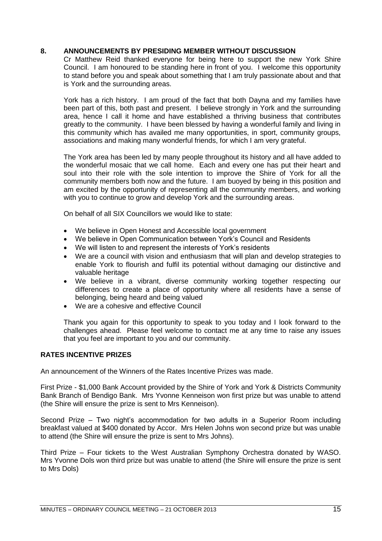#### **8. ANNOUNCEMENTS BY PRESIDING MEMBER WITHOUT DISCUSSION**

Cr Matthew Reid thanked everyone for being here to support the new York Shire Council. I am honoured to be standing here in front of you. I welcome this opportunity to stand before you and speak about something that I am truly passionate about and that is York and the surrounding areas.

York has a rich history. I am proud of the fact that both Dayna and my families have been part of this, both past and present. I believe strongly in York and the surrounding area, hence I call it home and have established a thriving business that contributes greatly to the community. I have been blessed by having a wonderful family and living in this community which has availed me many opportunities, in sport, community groups, associations and making many wonderful friends, for which I am very grateful.

The York area has been led by many people throughout its history and all have added to the wonderful mosaic that we call home. Each and every one has put their heart and soul into their role with the sole intention to improve the Shire of York for all the community members both now and the future. I am buoyed by being in this position and am excited by the opportunity of representing all the community members, and working with you to continue to grow and develop York and the surrounding areas.

On behalf of all SIX Councillors we would like to state:

- We believe in Open Honest and Accessible local government
- We believe in Open Communication between York's Council and Residents
- We will listen to and represent the interests of York's residents
- We are a council with vision and enthusiasm that will plan and develop strategies to enable York to flourish and fulfil its potential without damaging our distinctive and valuable heritage
- We believe in a vibrant, diverse community working together respecting our differences to create a place of opportunity where all residents have a sense of belonging, being heard and being valued
- We are a cohesive and effective Council

Thank you again for this opportunity to speak to you today and I look forward to the challenges ahead. Please feel welcome to contact me at any time to raise any issues that you feel are important to you and our community.

#### **RATES INCENTIVE PRIZES**

An announcement of the Winners of the Rates Incentive Prizes was made.

First Prize - \$1,000 Bank Account provided by the Shire of York and York & Districts Community Bank Branch of Bendigo Bank. Mrs Yvonne Kenneison won first prize but was unable to attend (the Shire will ensure the prize is sent to Mrs Kenneison).

Second Prize – Two night's accommodation for two adults in a Superior Room including breakfast valued at \$400 donated by Accor. Mrs Helen Johns won second prize but was unable to attend (the Shire will ensure the prize is sent to Mrs Johns).

Third Prize – Four tickets to the West Australian Symphony Orchestra donated by WASO. Mrs Yvonne Dols won third prize but was unable to attend (the Shire will ensure the prize is sent to Mrs Dols)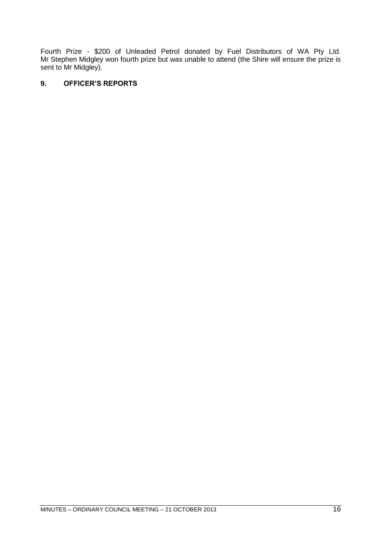Fourth Prize - \$200 of Unleaded Petrol donated by Fuel Distributors of WA Pty Ltd. Mr Stephen Midgley won fourth prize but was unable to attend (the Shire will ensure the prize is sent to Mr Midgley).

#### <span id="page-15-0"></span>**9. OFFICER'S REPORTS**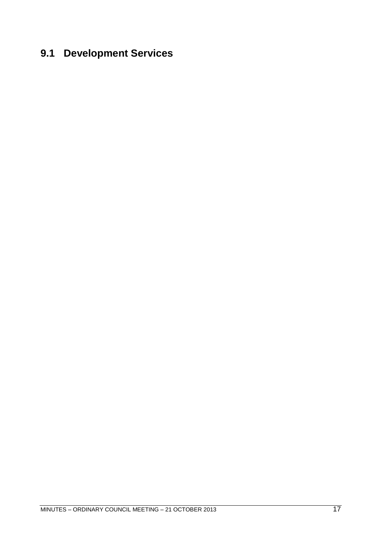# <span id="page-16-0"></span>**9.1 Development Services**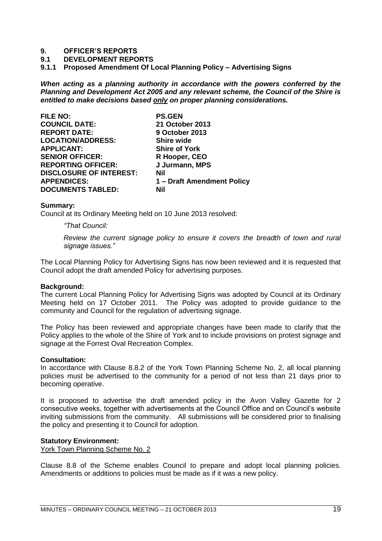#### **9. OFFICER'S REPORTS**

- **9.1 DEVELOPMENT REPORTS**
- <span id="page-18-0"></span>**9.1.1 Proposed Amendment Of Local Planning Policy – Advertising Signs**

*When acting as a planning authority in accordance with the powers conferred by the Planning and Development Act 2005 and any relevant scheme, the Council of the Shire is entitled to make decisions based only on proper planning considerations.*

| <b>PS.GEN</b>              |
|----------------------------|
| 21 October 2013            |
| 9 October 2013             |
| <b>Shire wide</b>          |
| <b>Shire of York</b>       |
| R Hooper, CEO              |
| J Jurmann, MPS             |
| Nil                        |
| 1 – Draft Amendment Policy |
| Nil                        |
|                            |

#### **Summary:**

Council at its Ordinary Meeting held on 10 June 2013 resolved:

*―That Council:*

*Review the current signage policy to ensure it covers the breadth of town and rural signage issues.‖*

The Local Planning Policy for Advertising Signs has now been reviewed and it is requested that Council adopt the draft amended Policy for advertising purposes.

#### **Background:**

The current Local Planning Policy for Advertising Signs was adopted by Council at its Ordinary Meeting held on 17 October 2011. The Policy was adopted to provide guidance to the community and Council for the regulation of advertising signage.

The Policy has been reviewed and appropriate changes have been made to clarify that the Policy applies to the whole of the Shire of York and to include provisions on protest signage and signage at the Forrest Oval Recreation Complex.

#### **Consultation:**

In accordance with Clause 8.8.2 of the York Town Planning Scheme No. 2, all local planning policies must be advertised to the community for a period of not less than 21 days prior to becoming operative.

It is proposed to advertise the draft amended policy in the Avon Valley Gazette for 2 consecutive weeks, together with advertisements at the Council Office and on Council's website inviting submissions from the community. All submissions will be considered prior to finalising the policy and presenting it to Council for adoption.

#### **Statutory Environment:**

York Town Planning Scheme No. 2

Clause 8.8 of the Scheme enables Council to prepare and adopt local planning policies. Amendments or additions to policies must be made as if it was a new policy.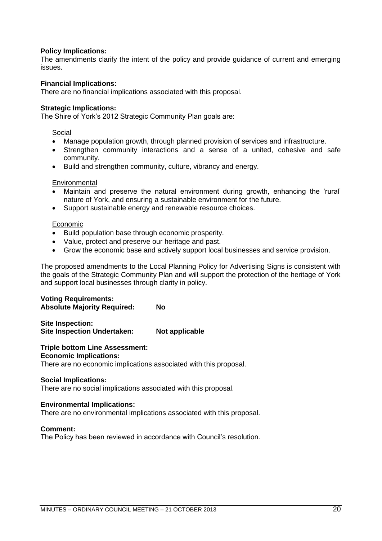#### **Policy Implications:**

The amendments clarify the intent of the policy and provide guidance of current and emerging issues.

#### **Financial Implications:**

There are no financial implications associated with this proposal.

#### **Strategic Implications:**

The Shire of York's 2012 Strategic Community Plan goals are:

#### Social

- Manage population growth, through planned provision of services and infrastructure.
- Strengthen community interactions and a sense of a united, cohesive and safe community.
- Build and strengthen community, culture, vibrancy and energy.

#### **Environmental**

- Maintain and preserve the natural environment during growth, enhancing the 'rural' nature of York, and ensuring a sustainable environment for the future.
- Support sustainable energy and renewable resource choices.

#### Economic

- Build population base through economic prosperity.
- Value, protect and preserve our heritage and past.
- Grow the economic base and actively support local businesses and service provision.

The proposed amendments to the Local Planning Policy for Advertising Signs is consistent with the goals of the Strategic Community Plan and will support the protection of the heritage of York and support local businesses through clarity in policy.

#### **Voting Requirements:**

**Absolute Majority Required: No**

**Site Inspection: Site Inspection Undertaken: Not applicable**

#### **Triple bottom Line Assessment: Economic Implications:**

There are no economic implications associated with this proposal.

#### **Social Implications:**

There are no social implications associated with this proposal.

#### **Environmental Implications:**

There are no environmental implications associated with this proposal.

#### **Comment:**

The Policy has been reviewed in accordance with Council's resolution.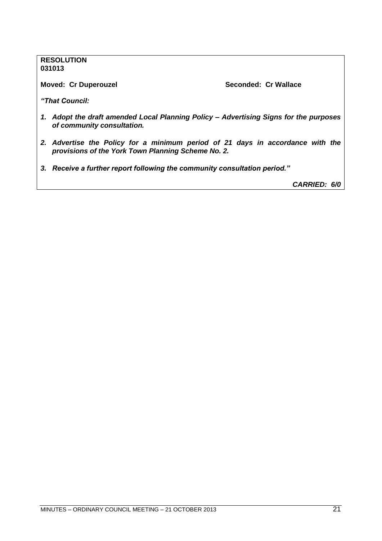#### **RESOLUTION 031013**

**Moved: Cr Duperouzel Seconded: Cr Wallace**

*"That Council:*

- *1. Adopt the draft amended Local Planning Policy – Advertising Signs for the purposes of community consultation.*
- *2. Advertise the Policy for a minimum period of 21 days in accordance with the provisions of the York Town Planning Scheme No. 2.*
- *3. Receive a further report following the community consultation period."*

*CARRIED: 6/0*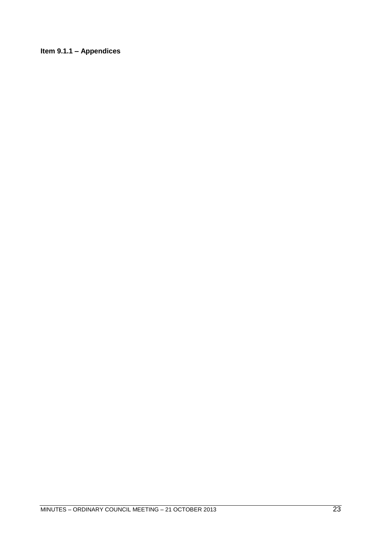<span id="page-22-0"></span>**Item 9.1.1 – Appendices**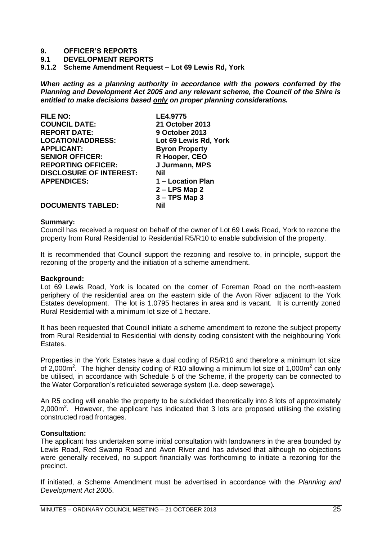#### **9. OFFICER'S REPORTS**

#### **9.1 DEVELOPMENT REPORTS**

<span id="page-24-0"></span>**9.1.2 Scheme Amendment Request – Lot 69 Lewis Rd, York**

*When acting as a planning authority in accordance with the powers conferred by the Planning and Development Act 2005 and any relevant scheme, the Council of the Shire is entitled to make decisions based only on proper planning considerations.*

| <b>FILE NO:</b>                | LE4.9775              |
|--------------------------------|-----------------------|
| <b>COUNCIL DATE:</b>           | 21 October 2013       |
| <b>REPORT DATE:</b>            | 9 October 2013        |
| <b>LOCATION/ADDRESS:</b>       | Lot 69 Lewis Rd, York |
| <b>APPLICANT:</b>              | <b>Byron Property</b> |
| <b>SENIOR OFFICER:</b>         | R Hooper, CEO         |
| <b>REPORTING OFFICER:</b>      | J Jurmann, MPS        |
| <b>DISCLOSURE OF INTEREST:</b> | Nil                   |
| <b>APPENDICES:</b>             | 1 – Location Plan     |
|                                | $2 - LPS$ Map 2       |
|                                | $3 - TPS$ Map 3       |
| <b>DOCUMENTS TABLED:</b>       | Nil                   |

#### **Summary:**

Council has received a request on behalf of the owner of Lot 69 Lewis Road, York to rezone the property from Rural Residential to Residential R5/R10 to enable subdivision of the property.

It is recommended that Council support the rezoning and resolve to, in principle, support the rezoning of the property and the initiation of a scheme amendment.

#### **Background:**

Lot 69 Lewis Road, York is located on the corner of Foreman Road on the north-eastern periphery of the residential area on the eastern side of the Avon River adjacent to the York Estates development. The lot is 1.0795 hectares in area and is vacant. It is currently zoned Rural Residential with a minimum lot size of 1 hectare.

It has been requested that Council initiate a scheme amendment to rezone the subject property from Rural Residential to Residential with density coding consistent with the neighbouring York Estates.

Properties in the York Estates have a dual coding of R5/R10 and therefore a minimum lot size of 2,000 $\text{m}^2$ . The higher density coding of R10 allowing a minimum lot size of 1,000 $\text{m}^2$  can only be utilised, in accordance with Schedule 5 of the Scheme, if the property can be connected to the Water Corporation's reticulated sewerage system (i.e. deep sewerage).

An R5 coding will enable the property to be subdivided theoretically into 8 lots of approximately  $2,000$ m<sup>2</sup>. However, the applicant has indicated that 3 lots are proposed utilising the existing constructed road frontages.

#### **Consultation:**

The applicant has undertaken some initial consultation with landowners in the area bounded by Lewis Road, Red Swamp Road and Avon River and has advised that although no objections were generally received, no support financially was forthcoming to initiate a rezoning for the precinct.

If initiated, a Scheme Amendment must be advertised in accordance with the *Planning and Development Act 2005*.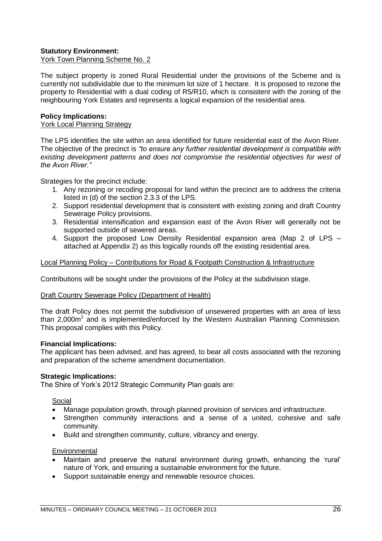#### **Statutory Environment:**

York Town Planning Scheme No. 2

The subject property is zoned Rural Residential under the provisions of the Scheme and is currently not subdividable due to the minimum lot size of 1 hectare. It is proposed to rezone the property to Residential with a dual coding of R5/R10, which is consistent with the zoning of the neighbouring York Estates and represents a logical expansion of the residential area.

#### **Policy Implications:**

#### York Local Planning Strategy

The LPS identifies the site within an area identified for future residential east of the Avon River. The objective of the precinct is "to ensure any further residential development is compatible with *existing development patterns and does not compromise the residential objectives for west of the Avon River.‖*

Strategies for the precinct include:

- 1. Any rezoning or recoding proposal for land within the precinct are to address the criteria listed in (d) of the section 2.3.3 of the LPS.
- 2. Support residential development that is consistent with existing zoning and draft Country Sewerage Policy provisions.
- 3. Residential intensification and expansion east of the Avon River will generally not be supported outside of sewered areas.
- 4. Support the proposed Low Density Residential expansion area (Map 2 of LPS attached at Appendix 2) as this logically rounds off the existing residential area.

#### Local Planning Policy – Contributions for Road & Footpath Construction & Infrastructure

Contributions will be sought under the provisions of the Policy at the subdivision stage.

#### Draft Country Sewerage Policy (Department of Health)

The draft Policy does not permit the subdivision of unsewered properties with an area of less than 2,000 $m^2$  and is implemented/enforced by the Western Australian Planning Commission. This proposal complies with this Policy.

#### **Financial Implications:**

The applicant has been advised, and has agreed, to bear all costs associated with the rezoning and preparation of the scheme amendment documentation.

#### **Strategic Implications:**

The Shire of York's 2012 Strategic Community Plan goals are:

#### Social

- Manage population growth, through planned provision of services and infrastructure.
- Strengthen community interactions and a sense of a united, cohesive and safe community.
- Build and strengthen community, culture, vibrancy and energy.

#### **Environmental**

- Maintain and preserve the natural environment during growth, enhancing the 'rural' nature of York, and ensuring a sustainable environment for the future.
- Support sustainable energy and renewable resource choices.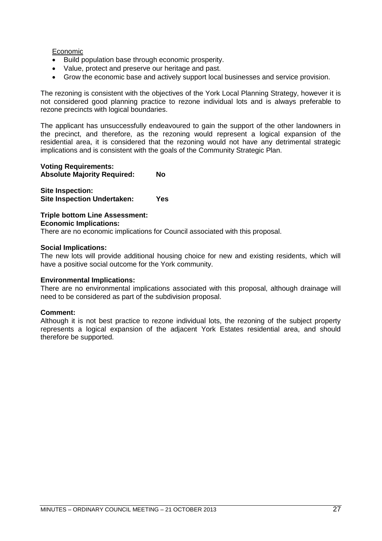#### Economic

- Build population base through economic prosperity.
- Value, protect and preserve our heritage and past.
- Grow the economic base and actively support local businesses and service provision.

The rezoning is consistent with the objectives of the York Local Planning Strategy, however it is not considered good planning practice to rezone individual lots and is always preferable to rezone precincts with logical boundaries.

The applicant has unsuccessfully endeavoured to gain the support of the other landowners in the precinct, and therefore, as the rezoning would represent a logical expansion of the residential area, it is considered that the rezoning would not have any detrimental strategic implications and is consistent with the goals of the Community Strategic Plan.

#### **Voting Requirements:**

**Absolute Majority Required: No**

**Site Inspection: Site Inspection Undertaken: Yes**

#### **Triple bottom Line Assessment: Economic Implications:**

There are no economic implications for Council associated with this proposal.

#### **Social Implications:**

The new lots will provide additional housing choice for new and existing residents, which will have a positive social outcome for the York community.

#### **Environmental Implications:**

There are no environmental implications associated with this proposal, although drainage will need to be considered as part of the subdivision proposal.

#### **Comment:**

Although it is not best practice to rezone individual lots, the rezoning of the subject property represents a logical expansion of the adjacent York Estates residential area, and should therefore be supported.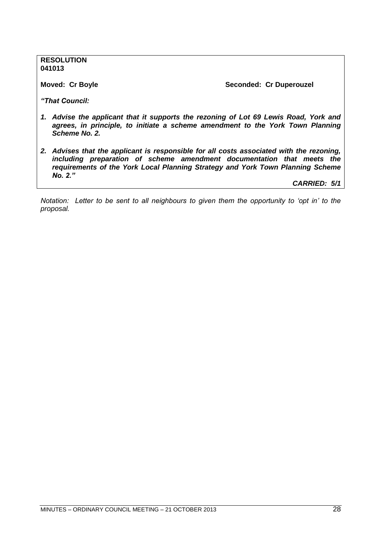**RESOLUTION 041013**

**Moved: Cr Boyle Seconded: Cr Duperouzel** 

*"That Council:*

- *1. Advise the applicant that it supports the rezoning of Lot 69 Lewis Road, York and*  agrees, in principle, to initiate a scheme amendment to the York Town Planning *Scheme No. 2.*
- *2. Advises that the applicant is responsible for all costs associated with the rezoning, including preparation of scheme amendment documentation that meets the requirements of the York Local Planning Strategy and York Town Planning Scheme No. 2."*

*CARRIED: 5/1*

*Notation: Letter to be sent to all neighbours to given them the opportunity to 'opt in' to the proposal.*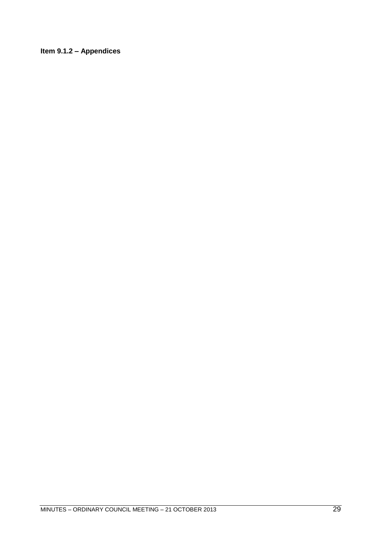### <span id="page-28-0"></span>**Item 9.1.2 – Appendices**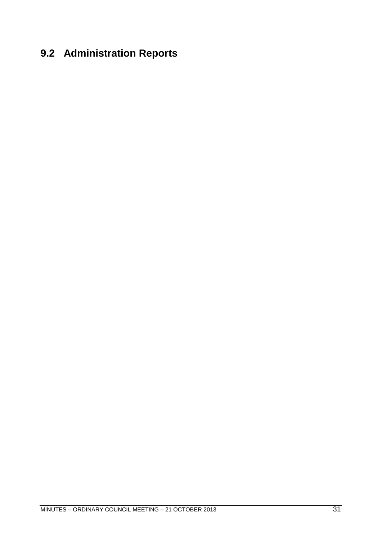# <span id="page-30-0"></span>**9.2 Administration Reports**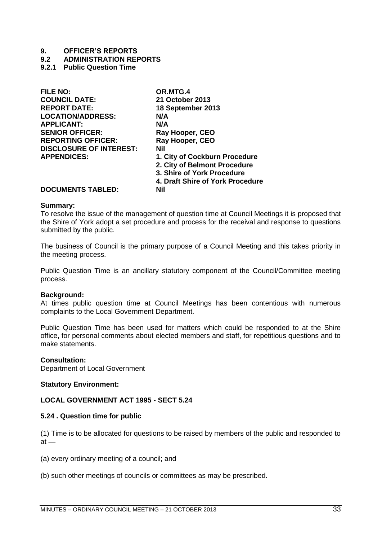#### **9. OFFICER'S REPORTS**

#### **9.2 ADMINISTRATION REPORTS**

#### <span id="page-32-0"></span>**9.2.1 Public Question Time**

| <b>FILE NO:</b>                | OR.MTG.4                         |
|--------------------------------|----------------------------------|
| <b>COUNCIL DATE:</b>           | <b>21 October 2013</b>           |
| <b>REPORT DATE:</b>            | 18 September 2013                |
| <b>LOCATION/ADDRESS:</b>       | N/A                              |
| <b>APPLICANT:</b>              | N/A                              |
| <b>SENIOR OFFICER:</b>         | Ray Hooper, CEO                  |
| <b>REPORTING OFFICER:</b>      | Ray Hooper, CEO                  |
| <b>DISCLOSURE OF INTEREST:</b> | Nil                              |
| <b>APPENDICES:</b>             | 1. City of Cockburn Procedure    |
|                                | 2. City of Belmont Procedure     |
|                                | 3. Shire of York Procedure       |
|                                | 4. Draft Shire of York Procedure |
| DOCHMENTS TADI ED.             | MH                               |

#### **DOCUMENTS TABLED: Nil**

#### **Summary:**

To resolve the issue of the management of question time at Council Meetings it is proposed that the Shire of York adopt a set procedure and process for the receival and response to questions submitted by the public.

The business of Council is the primary purpose of a Council Meeting and this takes priority in the meeting process.

Public Question Time is an ancillary statutory component of the Council/Committee meeting process.

#### **Background:**

At times public question time at Council Meetings has been contentious with numerous complaints to the Local Government Department.

Public Question Time has been used for matters which could be responded to at the Shire office, for personal comments about elected members and staff, for repetitious questions and to make statements.

#### **Consultation:**

Department of Local Government

#### **Statutory Environment:**

#### **LOCAL GOVERNMENT ACT 1995 - SECT 5.24**

#### **5.24 . Question time for public**

(1) Time is to be allocated for questions to be raised by members of the public and responded to  $at -$ 

(a) every ordinary meeting of a council; and

(b) such other meetings of councils or committees as may be prescribed.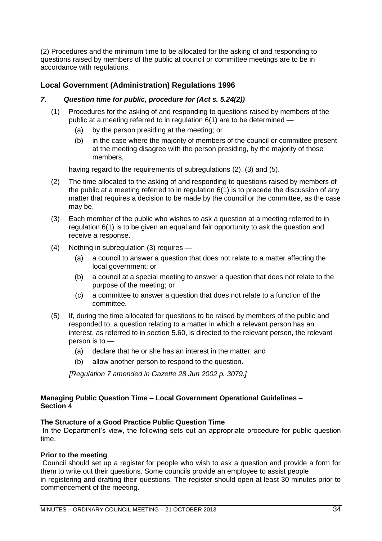(2) Procedures and the minimum time to be allocated for the asking of and responding to questions raised by members of the public at council or committee meetings are to be in accordance with regulations.

#### **Local Government (Administration) Regulations 1996**

#### *7. Question time for public, procedure for (Act s. 5.24(2))*

- (1) Procedures for the asking of and responding to questions raised by members of the public at a meeting referred to in regulation 6(1) are to be determined —
	- (a) by the person presiding at the meeting; or
	- (b) in the case where the majority of members of the council or committee present at the meeting disagree with the person presiding, by the majority of those members,

having regard to the requirements of subregulations (2), (3) and (5).

- (2) The time allocated to the asking of and responding to questions raised by members of the public at a meeting referred to in regulation 6(1) is to precede the discussion of any matter that requires a decision to be made by the council or the committee, as the case may be.
- (3) Each member of the public who wishes to ask a question at a meeting referred to in regulation 6(1) is to be given an equal and fair opportunity to ask the question and receive a response.
- (4) Nothing in subregulation (3) requires
	- (a) a council to answer a question that does not relate to a matter affecting the local government; or
	- (b) a council at a special meeting to answer a question that does not relate to the purpose of the meeting; or
	- (c) a committee to answer a question that does not relate to a function of the committee.
- (5) If, during the time allocated for questions to be raised by members of the public and responded to, a question relating to a matter in which a relevant person has an interest, as referred to in section 5.60, is directed to the relevant person, the relevant person is to —
	- (a) declare that he or she has an interest in the matter; and
	- (b) allow another person to respond to the question.

*[Regulation 7 amended in Gazette 28 Jun 2002 p. 3079.]*

#### **Managing Public Question Time – Local Government Operational Guidelines – Section 4**

#### **The Structure of a Good Practice Public Question Time**

In the Department's view, the following sets out an appropriate procedure for public question time.

#### **Prior to the meeting**

Council should set up a register for people who wish to ask a question and provide a form for them to write out their questions. Some councils provide an employee to assist people in registering and drafting their questions. The register should open at least 30 minutes prior to commencement of the meeting.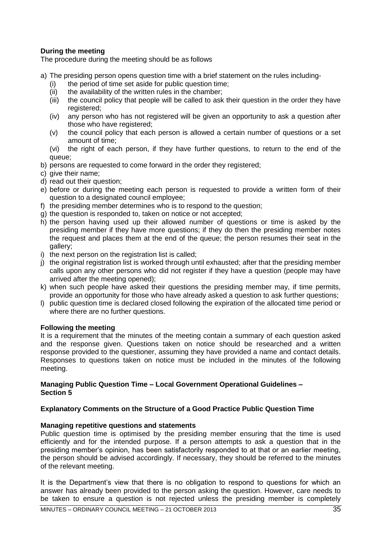#### **During the meeting**

The procedure during the meeting should be as follows

- a) The presiding person opens question time with a brief statement on the rules including-
	- (i) the period of time set aside for public question time;
	- (ii) the availability of the written rules in the chamber;
	- (iii) the council policy that people will be called to ask their question in the order they have registered;
	- (iv) any person who has not registered will be given an opportunity to ask a question after those who have registered;
	- (v) the council policy that each person is allowed a certain number of questions or a set amount of time;
	- (vi) the right of each person, if they have further questions, to return to the end of the queue;
- b) persons are requested to come forward in the order they registered;
- c) give their name;
- d) read out their question;
- e) before or during the meeting each person is requested to provide a written form of their question to a designated council employee;
- f) the presiding member determines who is to respond to the question;
- g) the question is responded to, taken on notice or not accepted;
- h) the person having used up their allowed number of questions or time is asked by the presiding member if they have more questions; if they do then the presiding member notes the request and places them at the end of the queue; the person resumes their seat in the gallery;
- i) the next person on the registration list is called;
- j) the original registration list is worked through until exhausted; after that the presiding member calls upon any other persons who did not register if they have a question (people may have arrived after the meeting opened);
- k) when such people have asked their questions the presiding member may, if time permits, provide an opportunity for those who have already asked a question to ask further questions;
- l) public question time is declared closed following the expiration of the allocated time period or where there are no further questions.

#### **Following the meeting**

It is a requirement that the minutes of the meeting contain a summary of each question asked and the response given. Questions taken on notice should be researched and a written response provided to the questioner, assuming they have provided a name and contact details. Responses to questions taken on notice must be included in the minutes of the following meeting.

#### **Managing Public Question Time – Local Government Operational Guidelines – Section 5**

#### **Explanatory Comments on the Structure of a Good Practice Public Question Time**

#### **Managing repetitive questions and statements**

Public question time is optimised by the presiding member ensuring that the time is used efficiently and for the intended purpose. If a person attempts to ask a question that in the presiding member's opinion, has been satisfactorily responded to at that or an earlier meeting, the person should be advised accordingly. If necessary, they should be referred to the minutes of the relevant meeting.

It is the Department's view that there is no obligation to respond to questions for which an answer has already been provided to the person asking the question. However, care needs to be taken to ensure a question is not rejected unless the presiding member is completely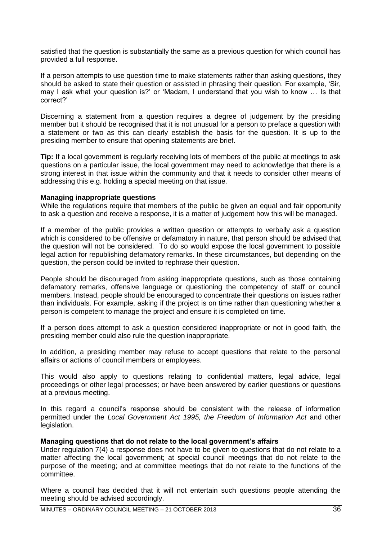satisfied that the question is substantially the same as a previous question for which council has provided a full response.

If a person attempts to use question time to make statements rather than asking questions, they should be asked to state their question or assisted in phrasing their question. For example, 'Sir, may I ask what your question is?' or 'Madam, I understand that you wish to know ... Is that correct?'

Discerning a statement from a question requires a degree of judgement by the presiding member but it should be recognised that it is not unusual for a person to preface a question with a statement or two as this can clearly establish the basis for the question. It is up to the presiding member to ensure that opening statements are brief.

**Tip:** If a local government is regularly receiving lots of members of the public at meetings to ask questions on a particular issue, the local government may need to acknowledge that there is a strong interest in that issue within the community and that it needs to consider other means of addressing this e.g. holding a special meeting on that issue.

#### **Managing inappropriate questions**

While the regulations require that members of the public be given an equal and fair opportunity to ask a question and receive a response, it is a matter of judgement how this will be managed.

If a member of the public provides a written question or attempts to verbally ask a question which is considered to be offensive or defamatory in nature, that person should be advised that the question will not be considered. To do so would expose the local government to possible legal action for republishing defamatory remarks. In these circumstances, but depending on the question, the person could be invited to rephrase their question.

People should be discouraged from asking inappropriate questions, such as those containing defamatory remarks, offensive language or questioning the competency of staff or council members. Instead, people should be encouraged to concentrate their questions on issues rather than individuals. For example, asking if the project is on time rather than questioning whether a person is competent to manage the project and ensure it is completed on time.

If a person does attempt to ask a question considered inappropriate or not in good faith, the presiding member could also rule the question inappropriate.

In addition, a presiding member may refuse to accept questions that relate to the personal affairs or actions of council members or employees.

This would also apply to questions relating to confidential matters, legal advice, legal proceedings or other legal processes; or have been answered by earlier questions or questions at a previous meeting.

In this regard a council's response should be consistent with the release of information permitted under the *Local Government Act 1995, the Freedom of Information Act* and other legislation.

#### **Managing questions that do not relate to the local government's affairs**

Under regulation 7(4) a response does not have to be given to questions that do not relate to a matter affecting the local government; at special council meetings that do not relate to the purpose of the meeting; and at committee meetings that do not relate to the functions of the committee.

Where a council has decided that it will not entertain such questions people attending the meeting should be advised accordingly.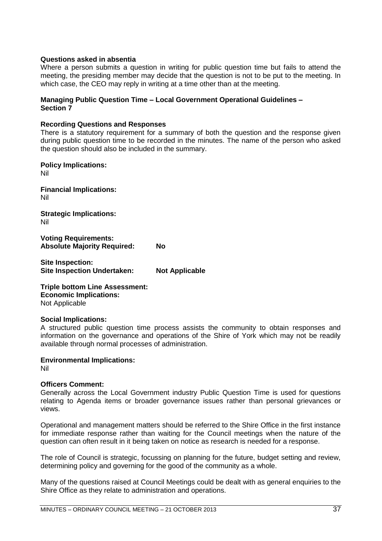## **Questions asked in absentia**

Where a person submits a question in writing for public question time but fails to attend the meeting, the presiding member may decide that the question is not to be put to the meeting. In which case, the CEO may reply in writing at a time other than at the meeting.

#### **Managing Public Question Time – Local Government Operational Guidelines – Section 7**

### **Recording Questions and Responses**

There is a statutory requirement for a summary of both the question and the response given during public question time to be recorded in the minutes. The name of the person who asked the question should also be included in the summary.

**Policy Implications:** Nil

**Financial Implications:** Nil

**Strategic Implications:** Nil

**Voting Requirements: Absolute Majority Required: No**

**Site Inspection: Site Inspection Undertaken: Not Applicable**

**Triple bottom Line Assessment: Economic Implications:** Not Applicable

#### **Social Implications:**

A structured public question time process assists the community to obtain responses and information on the governance and operations of the Shire of York which may not be readily available through normal processes of administration.

## **Environmental Implications:**

Nil

## **Officers Comment:**

Generally across the Local Government industry Public Question Time is used for questions relating to Agenda items or broader governance issues rather than personal grievances or views.

Operational and management matters should be referred to the Shire Office in the first instance for immediate response rather than waiting for the Council meetings when the nature of the question can often result in it being taken on notice as research is needed for a response.

The role of Council is strategic, focussing on planning for the future, budget setting and review, determining policy and governing for the good of the community as a whole.

Many of the questions raised at Council Meetings could be dealt with as general enquiries to the Shire Office as they relate to administration and operations.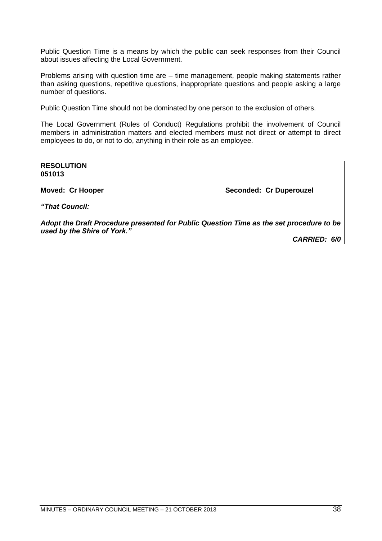Public Question Time is a means by which the public can seek responses from their Council about issues affecting the Local Government.

Problems arising with question time are – time management, people making statements rather than asking questions, repetitive questions, inappropriate questions and people asking a large number of questions.

Public Question Time should not be dominated by one person to the exclusion of others.

The Local Government (Rules of Conduct) Regulations prohibit the involvement of Council members in administration matters and elected members must not direct or attempt to direct employees to do, or not to do, anything in their role as an employee.

**RESOLUTION 051013**

**Moved: Cr Hooper Seconded: Cr Duperouzel** 

*"That Council:*

*Adopt the Draft Procedure presented for Public Question Time as the set procedure to be used by the Shire of York."*

*CARRIED: 6/0*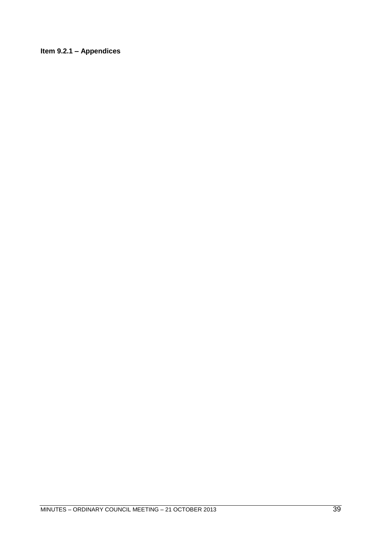**Item 9.2.1 – Appendices**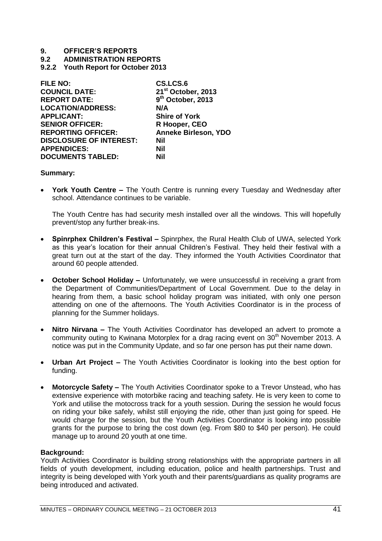**9.2 ADMINISTRATION REPORTS**

**9.2.2 Youth Report for October 2013**

| <b>FILE NO:</b>                | CS.LCS.6                       |
|--------------------------------|--------------------------------|
| <b>COUNCIL DATE:</b>           | 21 <sup>st</sup> October, 2013 |
| <b>REPORT DATE:</b>            | 9 <sup>th</sup> October, 2013  |
| <b>LOCATION/ADDRESS:</b>       | N/A                            |
| <b>APPLICANT:</b>              | <b>Shire of York</b>           |
| <b>SENIOR OFFICER:</b>         | R Hooper, CEO                  |
| <b>REPORTING OFFICER:</b>      | <b>Anneke Birleson, YDO</b>    |
| <b>DISCLOSURE OF INTEREST:</b> | Nil                            |
| <b>APPENDICES:</b>             | Nil                            |
| <b>DOCUMENTS TABLED:</b>       | Nil                            |

## **Summary:**

 **York Youth Centre –** The Youth Centre is running every Tuesday and Wednesday after school. Attendance continues to be variable.

The Youth Centre has had security mesh installed over all the windows. This will hopefully prevent/stop any further break-ins.

- **Spinrphex Children's Festival –** Spinrphex, the Rural Health Club of UWA, selected York as this year's location for their annual Children's Festival. They held their festival with a great turn out at the start of the day. They informed the Youth Activities Coordinator that around 60 people attended.
- **October School Holiday –** Unfortunately, we were unsuccessful in receiving a grant from the Department of Communities/Department of Local Government. Due to the delay in hearing from them, a basic school holiday program was initiated, with only one person attending on one of the afternoons. The Youth Activities Coordinator is in the process of planning for the Summer holidays.
- **Nitro Nirvana –** The Youth Activities Coordinator has developed an advert to promote a community outing to Kwinana Motorplex for a drag racing event on 30<sup>th</sup> November 2013. A notice was put in the Community Update, and so far one person has put their name down.
- **Urban Art Project –** The Youth Activities Coordinator is looking into the best option for funding.
- **Motorcycle Safety –** The Youth Activities Coordinator spoke to a Trevor Unstead, who has extensive experience with motorbike racing and teaching safety. He is very keen to come to York and utilise the motocross track for a youth session. During the session he would focus on riding your bike safely, whilst still enjoying the ride, other than just going for speed. He would charge for the session, but the Youth Activities Coordinator is looking into possible grants for the purpose to bring the cost down (eg. From \$80 to \$40 per person). He could manage up to around 20 youth at one time.

#### **Background:**

Youth Activities Coordinator is building strong relationships with the appropriate partners in all fields of youth development, including education, police and health partnerships. Trust and integrity is being developed with York youth and their parents/guardians as quality programs are being introduced and activated.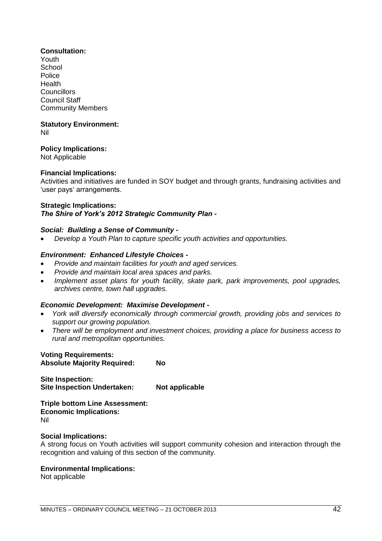## **Consultation:**

Youth **School** Police Health **Councillors** Council Staff Community Members

#### **Statutory Environment:** Nil

# **Policy Implications:**

Not Applicable

# **Financial Implications:**

Activities and initiatives are funded in SOY budget and through grants, fundraising activities and 'user pays' arrangements.

# **Strategic Implications:**

# *The Shire of York's 2012 Strategic Community Plan -*

## *Social: Building a Sense of Community -*

*Develop a Youth Plan to capture specific youth activities and opportunities.*

## *Environment: Enhanced Lifestyle Choices -*

- *Provide and maintain facilities for youth and aged services.*
- *Provide and maintain local area spaces and parks.*
- *Implement asset plans for youth facility, skate park, park improvements, pool upgrades, archives centre, town hall upgrades.*

## *Economic Development: Maximise Development -*

- *York will diversify economically through commercial growth, providing jobs and services to support our growing population.*
- *There will be employment and investment choices, providing a place for business access to rural and metropolitan opportunities.*

#### **Voting Requirements: Absolute Majority Required: No**

**Site Inspection: Site Inspection Undertaken: Not applicable**

**Triple bottom Line Assessment: Economic Implications:** Nil

## **Social Implications:**

A strong focus on Youth activities will support community cohesion and interaction through the recognition and valuing of this section of the community.

## **Environmental Implications:**

Not applicable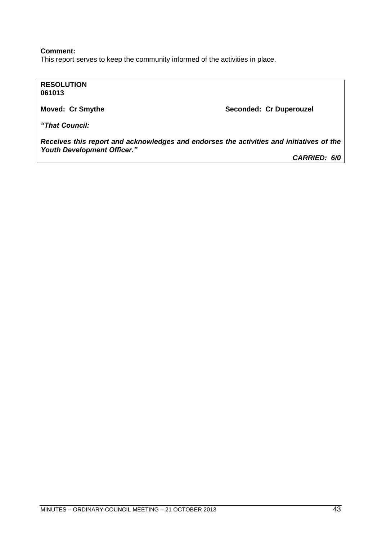## **Comment:**

This report serves to keep the community informed of the activities in place.

## **RESOLUTION 061013**

**Moved: Cr Smythe Seconded: Cr Duperouzel** 

*"That Council:*

*Receives this report and acknowledges and endorses the activities and initiatives of the Youth Development Officer."*

*CARRIED: 6/0*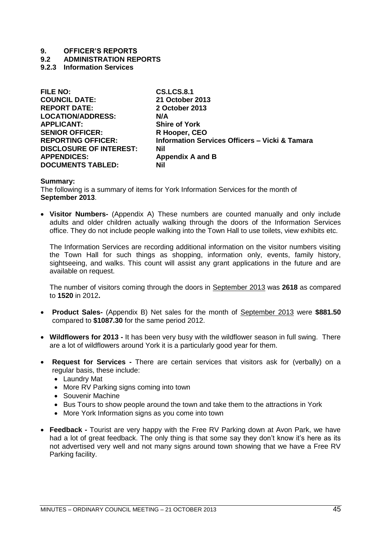**9.2 ADMINISTRATION REPORTS**

# **9.2.3 Information Services**

| <b>SENIOR OFFICER:</b><br>R Hooper, CEO<br><b>REPORTING OFFICER:</b><br><b>DISCLOSURE OF INTEREST:</b><br>Nil<br><b>APPENDICES:</b><br><b>Appendix A and B</b> | <b>FILE NO:</b><br><b>COUNCIL DATE:</b><br><b>REPORT DATE:</b><br><b>LOCATION/ADDRESS:</b><br><b>APPLICANT:</b> | <b>CS.LCS.8.1</b><br>21 October 2013<br>2 October 2013<br>N/A<br><b>Shire of York</b><br><b>Information Services Officers - Vicki &amp; Tamara</b> |
|----------------------------------------------------------------------------------------------------------------------------------------------------------------|-----------------------------------------------------------------------------------------------------------------|----------------------------------------------------------------------------------------------------------------------------------------------------|
| <b>DOCUMENTS TABLED:</b><br>Nil                                                                                                                                |                                                                                                                 |                                                                                                                                                    |

#### **Summary:**

The following is a summary of items for York Information Services for the month of **September 2013**.

 **Visitor Numbers-** (Appendix A) These numbers are counted manually and only include adults and older children actually walking through the doors of the Information Services office. They do not include people walking into the Town Hall to use toilets, view exhibits etc.

The Information Services are recording additional information on the visitor numbers visiting the Town Hall for such things as shopping, information only, events, family history, sightseeing, and walks. This count will assist any grant applications in the future and are available on request.

The number of visitors coming through the doors in September 2013 was **2618** as compared to **1520** in 2012**.** 

- **Product Sales-** (Appendix B) Net sales for the month of September 2013 were **\$881.50**  compared to **\$1087.30** for the same period 2012.
- **Wildflowers for 2013 -** It has been very busy with the wildflower season in full swing. There are a lot of wildflowers around York it is a particularly good year for them.
- **Request for Services -** There are certain services that visitors ask for (verbally) on a regular basis, these include:
	- Laundry Mat
	- More RV Parking signs coming into town
	- Souvenir Machine
	- Bus Tours to show people around the town and take them to the attractions in York
	- More York Information signs as you come into town
- **Feedback -** Tourist are very happy with the Free RV Parking down at Avon Park, we have had a lot of great feedback. The only thing is that some say they don't know it's here as its not advertised very well and not many signs around town showing that we have a Free RV Parking facility.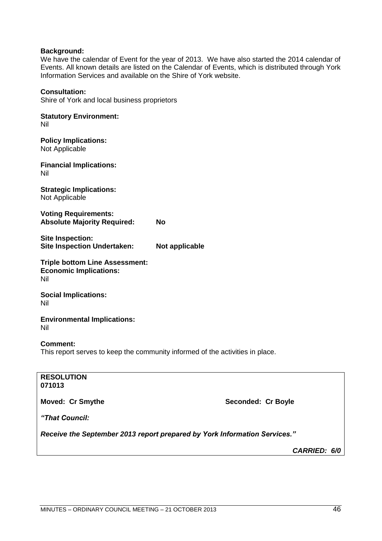## **Background:**

We have the calendar of Event for the year of 2013. We have also started the 2014 calendar of Events. All known details are listed on the Calendar of Events, which is distributed through York Information Services and available on the Shire of York website.

#### **Consultation:**

Shire of York and local business proprietors

**Statutory Environment:** Nil

**Policy Implications:** Not Applicable

**Financial Implications:** Nil

**Strategic Implications:** Not Applicable

**Voting Requirements: Absolute Majority Required: No**

**Site Inspection: Site Inspection Undertaken: Not applicable**

**Triple bottom Line Assessment: Economic Implications:** Nil

**Social Implications:** Nil

**Environmental Implications:** Nil

**Comment:**

This report serves to keep the community informed of the activities in place.

| <b>RESOLUTION</b><br>071013                                               |                    |  |
|---------------------------------------------------------------------------|--------------------|--|
| <b>Moved: Cr Smythe</b>                                                   | Seconded: Cr Boyle |  |
| "That Council:                                                            |                    |  |
| Receive the September 2013 report prepared by York Information Services." |                    |  |
|                                                                           | CARRIED: 6/0       |  |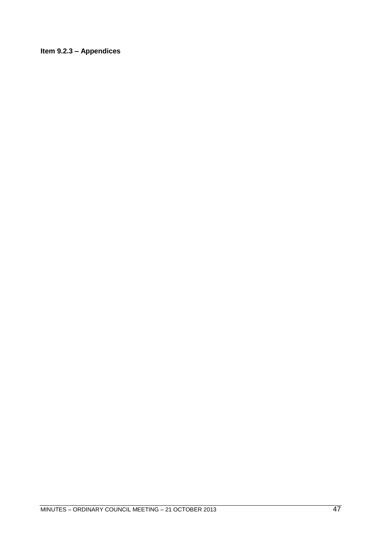# **Item 9.2.3 – Appendices**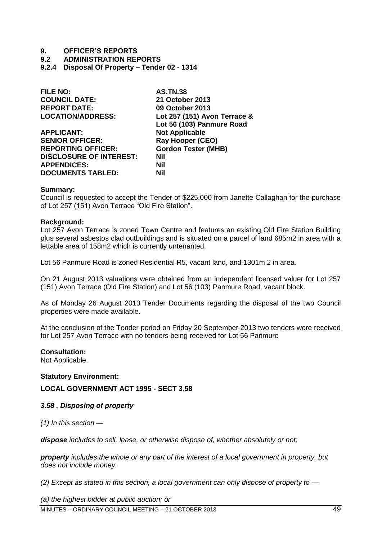- **9.2 ADMINISTRATION REPORTS**
- **9.2.4 Disposal Of Property – Tender 02 - 1314**

| <b>FILE NO:</b>                | <b>AS.TN.38</b>              |
|--------------------------------|------------------------------|
| <b>COUNCIL DATE:</b>           | 21 October 2013              |
| <b>REPORT DATE:</b>            | 09 October 2013              |
| <b>LOCATION/ADDRESS:</b>       | Lot 257 (151) Avon Terrace & |
|                                | Lot 56 (103) Panmure Road    |
| <b>APPLICANT:</b>              | <b>Not Applicable</b>        |
| <b>SENIOR OFFICER:</b>         | <b>Ray Hooper (CEO)</b>      |
| <b>REPORTING OFFICER:</b>      | <b>Gordon Tester (MHB)</b>   |
| <b>DISCLOSURE OF INTEREST:</b> | Nil                          |
| <b>APPENDICES:</b>             | Nil                          |
| <b>DOCUMENTS TABLED:</b>       | Nil                          |

#### **Summary:**

Council is requested to accept the Tender of \$225,000 from Janette Callaghan for the purchase of Lot 257 (151) Avon Terrace "Old Fire Station".

## **Background:**

Lot 257 Avon Terrace is zoned Town Centre and features an existing Old Fire Station Building plus several asbestos clad outbuildings and is situated on a parcel of land 685m2 in area with a lettable area of 158m2 which is currently untenanted.

Lot 56 Panmure Road is zoned Residential R5, vacant land, and 1301m 2 in area.

On 21 August 2013 valuations were obtained from an independent licensed valuer for Lot 257 (151) Avon Terrace (Old Fire Station) and Lot 56 (103) Panmure Road, vacant block.

As of Monday 26 August 2013 Tender Documents regarding the disposal of the two Council properties were made available.

At the conclusion of the Tender period on Friday 20 September 2013 two tenders were received for Lot 257 Avon Terrace with no tenders being received for Lot 56 Panmure

#### **Consultation:**

Not Applicable.

## **Statutory Environment:**

**LOCAL GOVERNMENT ACT 1995 - SECT 3.58** 

#### *3.58 . Disposing of property*

*(1) In this section —*

*dispose includes to sell, lease, or otherwise dispose of, whether absolutely or not;* 

*property includes the whole or any part of the interest of a local government in property, but does not include money.* 

*(2) Except as stated in this section, a local government can only dispose of property to —*

MINUTES – ORDINARY COUNCIL MEETING – 21 OCTOBER 2013 49 *(a) the highest bidder at public auction; or*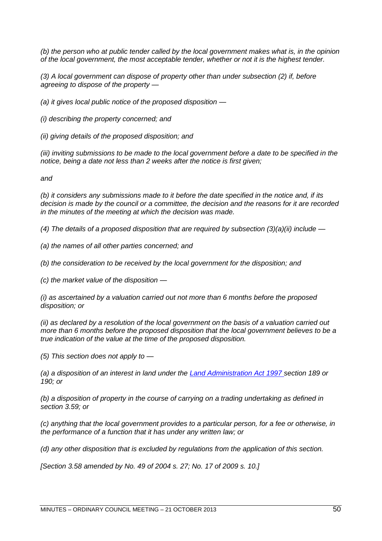*(b) the person who at public tender called by the local government makes what is, in the opinion of the local government, the most acceptable tender, whether or not it is the highest tender.* 

*(3) A local government can dispose of property other than under subsection (2) if, before agreeing to dispose of the property —*

*(a) it gives local public notice of the proposed disposition —*

*(i) describing the property concerned; and* 

*(ii) giving details of the proposed disposition; and* 

*(iii) inviting submissions to be made to the local government before a date to be specified in the notice, being a date not less than 2 weeks after the notice is first given;* 

*and* 

*(b) it considers any submissions made to it before the date specified in the notice and, if its decision is made by the council or a committee, the decision and the reasons for it are recorded in the minutes of the meeting at which the decision was made.* 

*(4) The details of a proposed disposition that are required by subsection (3)(a)(ii) include —*

*(a) the names of all other parties concerned; and* 

*(b) the consideration to be received by the local government for the disposition; and* 

*(c) the market value of the disposition —*

*(i) as ascertained by a valuation carried out not more than 6 months before the proposed disposition; or* 

*(ii) as declared by a resolution of the local government on the basis of a valuation carried out more than 6 months before the proposed disposition that the local government believes to be a true indication of the value at the time of the proposed disposition.* 

*(5) This section does not apply to —*

*(a) a disposition of an interest in land under the [Land Administration Act 1997 s](http://www.austlii.edu.au/au/legis/wa/consol_act/laa1997200/)ection 189 or 190; or* 

*(b) a disposition of property in the course of carrying on a trading undertaking as defined in section 3.59; or* 

*(c) anything that the local government provides to a particular person, for a fee or otherwise, in the performance of a function that it has under any written law; or* 

*(d) any other disposition that is excluded by regulations from the application of this section.* 

*[Section 3.58 amended by No. 49 of 2004 s. 27; No. 17 of 2009 s. 10.]*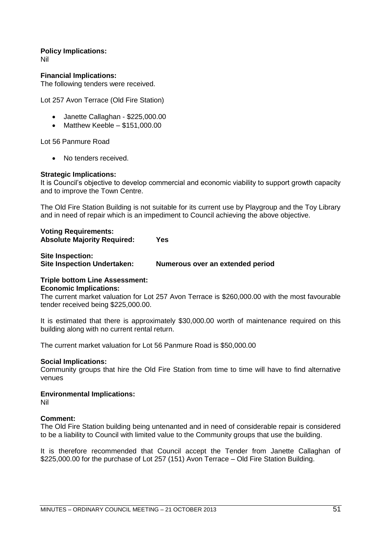**Policy Implications:**

Nil

**Financial Implications:** The following tenders were received.

Lot 257 Avon Terrace (Old Fire Station)

- Janette Callaghan \$225,000.00
- $\bullet$  Matthew Keeble \$151,000.00

Lot 56 Panmure Road

• No tenders received.

## **Strategic Implications:**

It is Council's objective to develop commercial and economic viability to support growth capacity and to improve the Town Centre.

The Old Fire Station Building is not suitable for its current use by Playgroup and the Toy Library and in need of repair which is an impediment to Council achieving the above objective.

| <b>Voting Requirements:</b>        |            |
|------------------------------------|------------|
| <b>Absolute Majority Required:</b> | <b>Yes</b> |
|                                    |            |

| <b>Site Inspection:</b>            |                                  |
|------------------------------------|----------------------------------|
| <b>Site Inspection Undertaken:</b> | Numerous over an extended period |

# **Triple bottom Line Assessment: Economic Implications:**

The current market valuation for Lot 257 Avon Terrace is \$260,000.00 with the most favourable tender received being \$225,000.00.

It is estimated that there is approximately \$30,000.00 worth of maintenance required on this building along with no current rental return.

The current market valuation for Lot 56 Panmure Road is \$50,000.00

## **Social Implications:**

Community groups that hire the Old Fire Station from time to time will have to find alternative venues

## **Environmental Implications:**

Nil

## **Comment:**

The Old Fire Station building being untenanted and in need of considerable repair is considered to be a liability to Council with limited value to the Community groups that use the building.

It is therefore recommended that Council accept the Tender from Janette Callaghan of \$225,000.00 for the purchase of Lot 257 (151) Avon Terrace – Old Fire Station Building.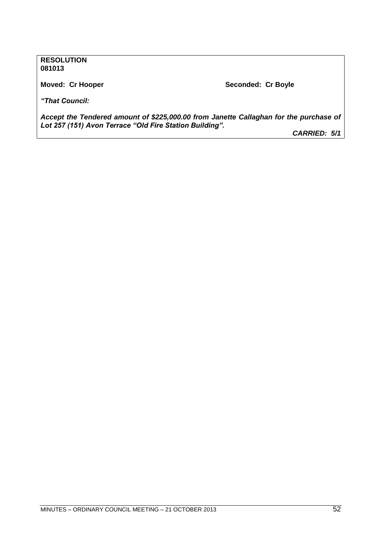## **RESOLUTION 081013**

**Moved: Cr Hooper Seconded: Cr Boyle**

*"That Council:*

*Accept the Tendered amount of \$225,000.00 from Janette Callaghan for the purchase of Lot 257 (151) Avon Terrace "Old Fire Station Building".*

*CARRIED: 5/1*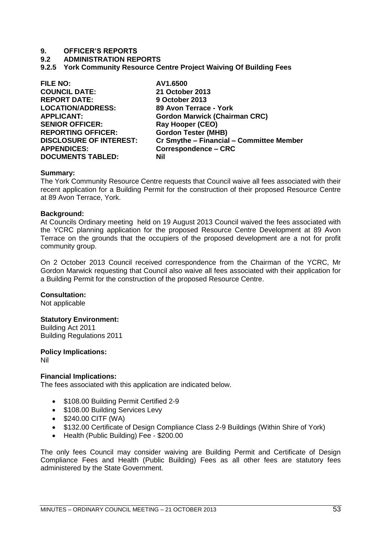#### **9.2 ADMINISTRATION REPORTS**

**9.2.5 York Community Resource Centre Project Waiving Of Building Fees**

| <b>FILE NO:</b>                | AV1.6500                                 |
|--------------------------------|------------------------------------------|
| <b>COUNCIL DATE:</b>           | 21 October 2013                          |
| <b>REPORT DATE:</b>            | 9 October 2013                           |
| <b>LOCATION/ADDRESS:</b>       | 89 Avon Terrace - York                   |
| <b>APPLICANT:</b>              | <b>Gordon Marwick (Chairman CRC)</b>     |
| <b>SENIOR OFFICER:</b>         | <b>Ray Hooper (CEO)</b>                  |
| <b>REPORTING OFFICER:</b>      | <b>Gordon Tester (MHB)</b>               |
| <b>DISCLOSURE OF INTEREST:</b> | Cr Smythe - Financial - Committee Member |
| <b>APPENDICES:</b>             | <b>Correspondence – CRC</b>              |
| <b>DOCUMENTS TABLED:</b>       | Nil                                      |

#### **Summary:**

The York Community Resource Centre requests that Council waive all fees associated with their recent application for a Building Permit for the construction of their proposed Resource Centre at 89 Avon Terrace, York.

#### **Background:**

At Councils Ordinary meeting held on 19 August 2013 Council waived the fees associated with the YCRC planning application for the proposed Resource Centre Development at 89 Avon Terrace on the grounds that the occupiers of the proposed development are a not for profit community group.

On 2 October 2013 Council received correspondence from the Chairman of the YCRC, Mr Gordon Marwick requesting that Council also waive all fees associated with their application for a Building Permit for the construction of the proposed Resource Centre.

#### **Consultation:**

Not applicable

#### **Statutory Environment:**

Building Act 2011 Building Regulations 2011

**Policy Implications:**

Nil

## **Financial Implications:**

The fees associated with this application are indicated below.

- \$108.00 Building Permit Certified 2-9
- \$108.00 Building Services Levy
- $\bullet$  \$240.00 CITF (WA)
- \$132.00 Certificate of Design Compliance Class 2-9 Buildings (Within Shire of York)
- Health (Public Building) Fee \$200.00

The only fees Council may consider waiving are Building Permit and Certificate of Design Compliance Fees and Health (Public Building) Fees as all other fees are statutory fees administered by the State Government.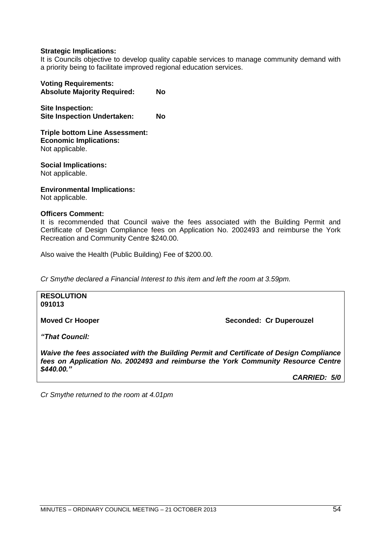## **Strategic Implications:**

It is Councils objective to develop quality capable services to manage community demand with a priority being to facilitate improved regional education services.

| <b>Voting Requirements:</b><br><b>Absolute Majority Required:</b> | No |
|-------------------------------------------------------------------|----|
| <b>Site Inspection:</b><br><b>Site Inspection Undertaken:</b>     | No |

**Triple bottom Line Assessment: Economic Implications:** Not applicable.

**Social Implications:** Not applicable.

**Environmental Implications:**

Not applicable.

## **Officers Comment:**

It is recommended that Council waive the fees associated with the Building Permit and Certificate of Design Compliance fees on Application No. 2002493 and reimburse the York Recreation and Community Centre \$240.00.

Also waive the Health (Public Building) Fee of \$200.00.

*Cr Smythe declared a Financial Interest to this item and left the room at 3.59pm.*

**RESOLUTION 091013**

**Moved Cr Hooper Seconded: Cr Duperouzel** 

*"That Council:*

*Waive the fees associated with the Building Permit and Certificate of Design Compliance fees on Application No. 2002493 and reimburse the York Community Resource Centre \$440.00."*

*CARRIED: 5/0*

*Cr Smythe returned to the room at 4.01pm*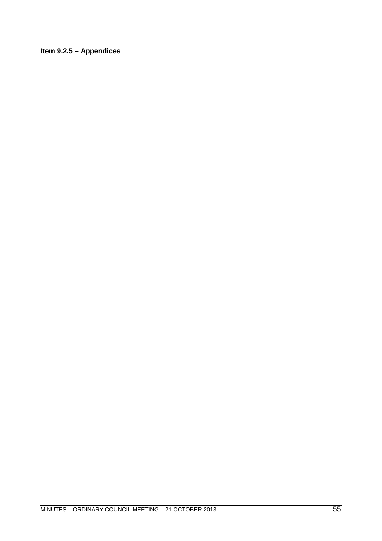# **Item 9.2.5 – Appendices**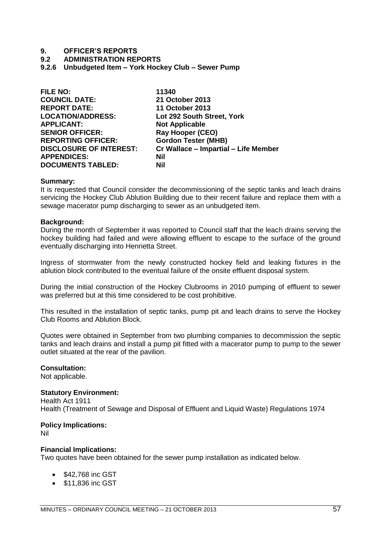#### **9.2 ADMINISTRATION REPORTS**

**9.2.6 Unbudgeted Item – York Hockey Club – Sewer Pump**

| <b>FILE NO:</b>                | 11340                                |
|--------------------------------|--------------------------------------|
| <b>COUNCIL DATE:</b>           | 21 October 2013                      |
| <b>REPORT DATE:</b>            | <b>11 October 2013</b>               |
| <b>LOCATION/ADDRESS:</b>       | Lot 292 South Street, York           |
| <b>APPLICANT:</b>              | <b>Not Applicable</b>                |
| <b>SENIOR OFFICER:</b>         | <b>Ray Hooper (CEO)</b>              |
| <b>REPORTING OFFICER:</b>      | <b>Gordon Tester (MHB)</b>           |
| <b>DISCLOSURE OF INTEREST:</b> | Cr Wallace - Impartial - Life Member |
| <b>APPENDICES:</b>             | Nil                                  |
| <b>DOCUMENTS TABLED:</b>       | <b>Nil</b>                           |

#### **Summary:**

It is requested that Council consider the decommissioning of the septic tanks and leach drains servicing the Hockey Club Ablution Building due to their recent failure and replace them with a sewage macerator pump discharging to sewer as an unbudgeted item.

#### **Background:**

During the month of September it was reported to Council staff that the leach drains serving the hockey building had failed and were allowing effluent to escape to the surface of the ground eventually discharging into Henrietta Street.

Ingress of stormwater from the newly constructed hockey field and leaking fixtures in the ablution block contributed to the eventual failure of the onsite effluent disposal system.

During the initial construction of the Hockey Clubrooms in 2010 pumping of effluent to sewer was preferred but at this time considered to be cost prohibitive.

This resulted in the installation of septic tanks, pump pit and leach drains to serve the Hockey Club Rooms and Ablution Block.

Quotes were obtained in September from two plumbing companies to decommission the septic tanks and leach drains and install a pump pit fitted with a macerator pump to pump to the sewer outlet situated at the rear of the pavilion.

### **Consultation:**

Not applicable.

#### **Statutory Environment:**

Health Act 1911 Health (Treatment of Sewage and Disposal of Effluent and Liquid Waste) Regulations 1974

#### **Policy Implications:**

Nil

#### **Financial Implications:**

Two quotes have been obtained for the sewer pump installation as indicated below.

- \$42,768 inc GST
- \$11,836 inc GST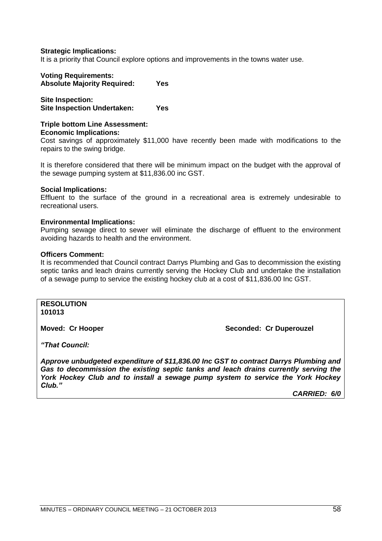### **Strategic Implications:**

It is a priority that Council explore options and improvements in the towns water use.

# **Voting Requirements:**

**Absolute Majority Required: Yes**

**Site Inspection: Site Inspection Undertaken: Yes**

# **Triple bottom Line Assessment: Economic Implications:**

Cost savings of approximately \$11,000 have recently been made with modifications to the repairs to the swing bridge.

It is therefore considered that there will be minimum impact on the budget with the approval of the sewage pumping system at \$11,836.00 inc GST.

#### **Social Implications:**

Effluent to the surface of the ground in a recreational area is extremely undesirable to recreational users.

## **Environmental Implications:**

Pumping sewage direct to sewer will eliminate the discharge of effluent to the environment avoiding hazards to health and the environment.

#### **Officers Comment:**

It is recommended that Council contract Darrys Plumbing and Gas to decommission the existing septic tanks and leach drains currently serving the Hockey Club and undertake the installation of a sewage pump to service the existing hockey club at a cost of \$11,836.00 Inc GST.

**RESOLUTION 101013**

**Moved: Cr Hooper Seconded: Cr Duperouzel** 

*"That Council:*

*Approve unbudgeted expenditure of \$11,836.00 Inc GST to contract Darrys Plumbing and Gas to decommission the existing septic tanks and leach drains currently serving the York Hockey Club and to install a sewage pump system to service the York Hockey Club."*

*CARRIED: 6/0*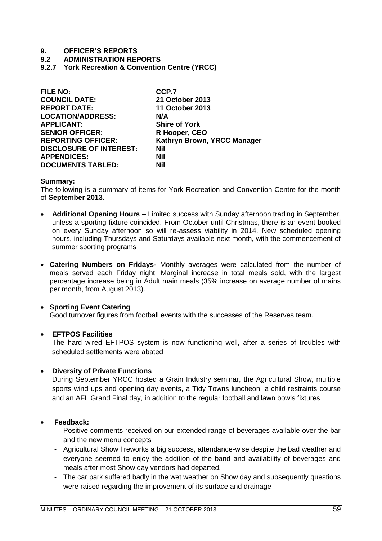## **9.2 ADMINISTRATION REPORTS**

**9.2.7 York Recreation & Convention Centre (YRCC)** 

| <b>FILE NO:</b>                | CCP.7                       |
|--------------------------------|-----------------------------|
| <b>COUNCIL DATE:</b>           | 21 October 2013             |
| <b>REPORT DATE:</b>            | <b>11 October 2013</b>      |
| <b>LOCATION/ADDRESS:</b>       | N/A                         |
| <b>APPLICANT:</b>              | <b>Shire of York</b>        |
| <b>SENIOR OFFICER:</b>         | R Hooper, CEO               |
| <b>REPORTING OFFICER:</b>      | Kathryn Brown, YRCC Manager |
| <b>DISCLOSURE OF INTEREST:</b> | <b>Nil</b>                  |
| <b>APPENDICES:</b>             | Nil                         |
| <b>DOCUMENTS TABLED:</b>       | Nil                         |

## **Summary:**

The following is a summary of items for York Recreation and Convention Centre for the month of **September 2013**.

- **Additional Opening Hours –** Limited success with Sunday afternoon trading in September, unless a sporting fixture coincided. From October until Christmas, there is an event booked on every Sunday afternoon so will re-assess viability in 2014. New scheduled opening hours, including Thursdays and Saturdays available next month, with the commencement of summer sporting programs
- **Catering Numbers on Fridays-** Monthly averages were calculated from the number of meals served each Friday night. Marginal increase in total meals sold, with the largest percentage increase being in Adult main meals (35% increase on average number of mains per month, from August 2013).

## **• Sporting Event Catering**

Good turnover figures from football events with the successes of the Reserves team.

## **EFTPOS Facilities**

The hard wired EFTPOS system is now functioning well, after a series of troubles with scheduled settlements were abated

## **Diversity of Private Functions**

During September YRCC hosted a Grain Industry seminar, the Agricultural Show, multiple sports wind ups and opening day events, a Tidy Towns luncheon, a child restraints course and an AFL Grand Final day, in addition to the regular football and lawn bowls fixtures

## **Feedback:**

- Positive comments received on our extended range of beverages available over the bar and the new menu concepts
- Agricultural Show fireworks a big success, attendance-wise despite the bad weather and everyone seemed to enjoy the addition of the band and availability of beverages and meals after most Show day vendors had departed.
- The car park suffered badly in the wet weather on Show day and subsequently questions were raised regarding the improvement of its surface and drainage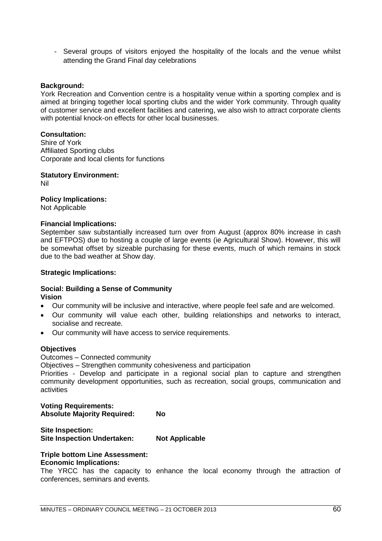- Several groups of visitors enjoyed the hospitality of the locals and the venue whilst attending the Grand Final day celebrations

### **Background:**

York Recreation and Convention centre is a hospitality venue within a sporting complex and is aimed at bringing together local sporting clubs and the wider York community. Through quality of customer service and excellent facilities and catering, we also wish to attract corporate clients with potential knock-on effects for other local businesses.

## **Consultation:**

Shire of York Affiliated Sporting clubs Corporate and local clients for functions

**Statutory Environment:** Nil

## **Policy Implications:**

Not Applicable

#### **Financial Implications:**

September saw substantially increased turn over from August (approx 80% increase in cash and EFTPOS) due to hosting a couple of large events (ie Agricultural Show). However, this will be somewhat offset by sizeable purchasing for these events, much of which remains in stock due to the bad weather at Show day.

#### **Strategic Implications:**

#### **Social: Building a Sense of Community Vision**

- Our community will be inclusive and interactive, where people feel safe and are welcomed.
- Our community will value each other, building relationships and networks to interact, socialise and recreate.
- Our community will have access to service requirements.

#### **Objectives**

Outcomes – Connected community

Objectives – Strengthen community cohesiveness and participation

Priorities - Develop and participate in a regional social plan to capture and strengthen community development opportunities, such as recreation, social groups, communication and activities

#### **Voting Requirements: Absolute Majority Required: No**

## **Site Inspection: Site Inspection Undertaken: Not Applicable**

## **Triple bottom Line Assessment:**

## **Economic Implications:**

The YRCC has the capacity to enhance the local economy through the attraction of conferences, seminars and events.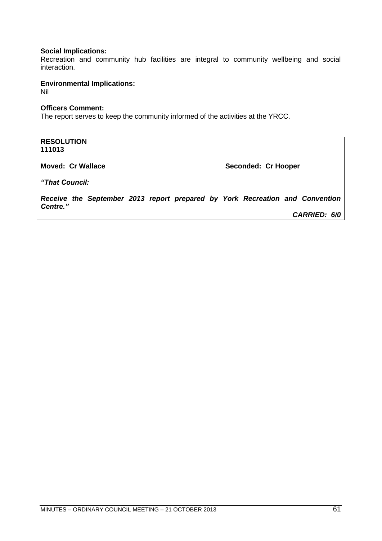## **Social Implications:**

Recreation and community hub facilities are integral to community wellbeing and social interaction.

**Environmental Implications:** 

Nil

## **Officers Comment:**

The report serves to keep the community informed of the activities at the YRCC.

**RESOLUTION 111013**

**Moved: Cr Wallace Moved: Cr Hooper** 

*"That Council:*

*Receive the September 2013 report prepared by York Recreation and Convention Centre." CARRIED: 6/0*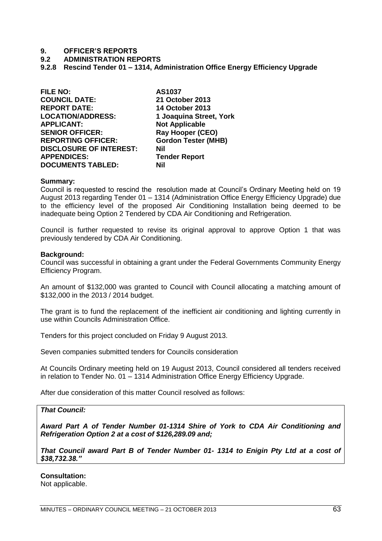#### **9.2 ADMINISTRATION REPORTS**

**9.2.8 Rescind Tender 01 – 1314, Administration Office Energy Efficiency Upgrade**

**FILE NO: AS1037 COUNCIL DATE: 21 October 2013 REPORT DATE: 14 October 2013 LOCATION/ADDRESS: 1 Joaquina Street, York SENIOR OFFICER: Ray Hooper (CEO) REPORTING OFFICER: Gordon Tester (MHB) DISCLOSURE OF INTEREST: Nil APPENDICES: Tender Report DOCUMENTS TABLED: Nil**

**Not Applicable** 

#### **Summary:**

Council is requested to rescind the resolution made at Council's Ordinary Meeting held on 19 August 2013 regarding Tender 01 – 1314 (Administration Office Energy Efficiency Upgrade) due to the efficiency level of the proposed Air Conditioning Installation being deemed to be inadequate being Option 2 Tendered by CDA Air Conditioning and Refrigeration.

Council is further requested to revise its original approval to approve Option 1 that was previously tendered by CDA Air Conditioning.

#### **Background:**

Council was successful in obtaining a grant under the Federal Governments Community Energy Efficiency Program.

An amount of \$132,000 was granted to Council with Council allocating a matching amount of \$132,000 in the 2013 / 2014 budget.

The grant is to fund the replacement of the inefficient air conditioning and lighting currently in use within Councils Administration Office.

Tenders for this project concluded on Friday 9 August 2013.

Seven companies submitted tenders for Councils consideration

At Councils Ordinary meeting held on 19 August 2013, Council considered all tenders received in relation to Tender No. 01 – 1314 Administration Office Energy Efficiency Upgrade.

After due consideration of this matter Council resolved as follows:

#### *That Council:*

*Award Part A of Tender Number 01-1314 Shire of York to CDA Air Conditioning and Refrigeration Option 2 at a cost of \$126,289.09 and;*

*That Council award Part B of Tender Number 01- 1314 to Enigin Pty Ltd at a cost of \$38,732.38."*

**Consultation:**

Not applicable.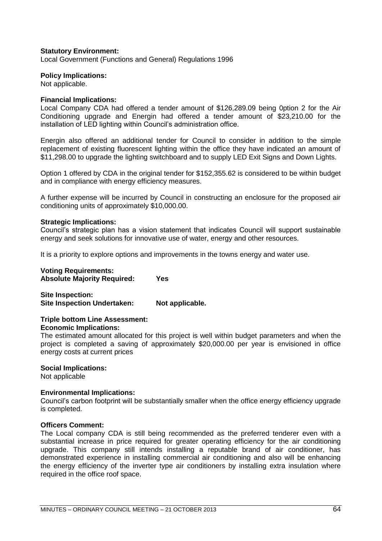## **Statutory Environment:**

Local Government (Functions and General) Regulations 1996

#### **Policy Implications:**

Not applicable.

#### **Financial Implications:**

Local Company CDA had offered a tender amount of \$126,289.09 being 0ption 2 for the Air Conditioning upgrade and Energin had offered a tender amount of \$23,210.00 for the installation of LED lighting within Council's administration office.

Energin also offered an additional tender for Council to consider in addition to the simple replacement of existing fluorescent lighting within the office they have indicated an amount of \$11,298.00 to upgrade the lighting switchboard and to supply LED Exit Signs and Down Lights.

Option 1 offered by CDA in the original tender for \$152,355.62 is considered to be within budget and in compliance with energy efficiency measures.

A further expense will be incurred by Council in constructing an enclosure for the proposed air conditioning units of approximately \$10,000.00.

#### **Strategic Implications:**

Council's strategic plan has a vision statement that indicates Council will support sustainable energy and seek solutions for innovative use of water, energy and other resources.

It is a priority to explore options and improvements in the towns energy and water use.

#### **Voting Requirements: Absolute Majority Required: Yes**

**Site Inspection: Site Inspection Undertaken: Not applicable.**

#### **Triple bottom Line Assessment: Economic Implications:**

The estimated amount allocated for this project is well within budget parameters and when the project is completed a saving of approximately \$20,000.00 per year is envisioned in office energy costs at current prices

#### **Social Implications:**

Not applicable

#### **Environmental Implications:**

Council's carbon footprint will be substantially smaller when the office energy efficiency upgrade is completed.

#### **Officers Comment:**

The Local company CDA is still being recommended as the preferred tenderer even with a substantial increase in price required for greater operating efficiency for the air conditioning upgrade. This company still intends installing a reputable brand of air conditioner, has demonstrated experience in installing commercial air conditioning and also will be enhancing the energy efficiency of the inverter type air conditioners by installing extra insulation where required in the office roof space.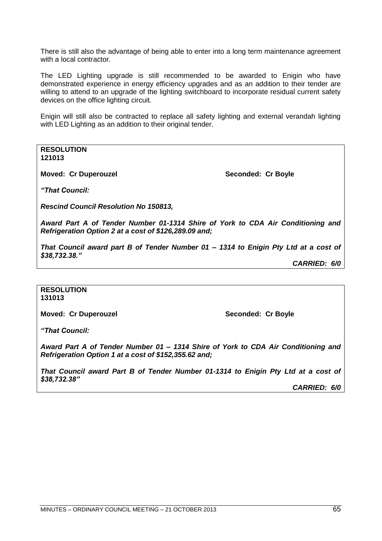There is still also the advantage of being able to enter into a long term maintenance agreement with a local contractor.

The LED Lighting upgrade is still recommended to be awarded to Enigin who have demonstrated experience in energy efficiency upgrades and as an addition to their tender are willing to attend to an upgrade of the lighting switchboard to incorporate residual current safety devices on the office lighting circuit.

Enigin will still also be contracted to replace all safety lighting and external verandah lighting with LED Lighting as an addition to their original tender.

**RESOLUTION 121013**

**Moved: Cr Duperouzel Seconded: Cr Boyle Seconded: Cr Boyle** 

*"That Council:*

*Rescind Council Resolution No 150813,*

*Award Part A of Tender Number 01-1314 Shire of York to CDA Air Conditioning and Refrigeration Option 2 at a cost of \$126,289.09 and;*

*That Council award part B of Tender Number 01 – 1314 to Enigin Pty Ltd at a cost of \$38,732.38."*

*CARRIED: 6/0*

#### **RESOLUTION 131013**

**Moved: Cr Duperouzel Seconded: Cr Boyle**

*"That Council:*

*Award Part A of Tender Number 01 – 1314 Shire of York to CDA Air Conditioning and Refrigeration Option 1 at a cost of \$152,355.62 and;*

*That Council award Part B of Tender Number 01-1314 to Enigin Pty Ltd at a cost of \$38,732.38"*

*CARRIED: 6/0*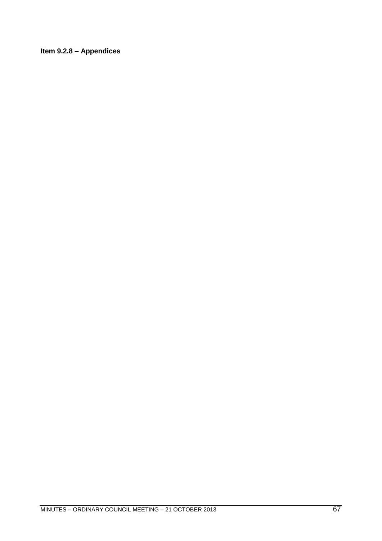# **Item 9.2.8 – Appendices**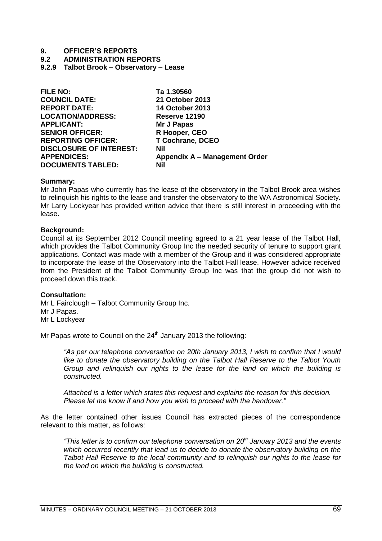**9.2 ADMINISTRATION REPORTS**

**9.2.9 Talbot Brook – Observatory – Lease**

| <b>FILE NO:</b>                | Ta 1.30560                    |
|--------------------------------|-------------------------------|
| <b>COUNCIL DATE:</b>           | 21 October 2013               |
| <b>REPORT DATE:</b>            | <b>14 October 2013</b>        |
| <b>LOCATION/ADDRESS:</b>       | Reserve 12190                 |
| <b>APPLICANT:</b>              | Mr J Papas                    |
| <b>SENIOR OFFICER:</b>         | R Hooper, CEO                 |
| <b>REPORTING OFFICER:</b>      | <b>T Cochrane, DCEO</b>       |
| <b>DISCLOSURE OF INTEREST:</b> | <b>Nil</b>                    |
| <b>APPENDICES:</b>             | Appendix A - Management Order |
| <b>DOCUMENTS TABLED:</b>       | Nil                           |
|                                |                               |

#### **Summary:**

Mr John Papas who currently has the lease of the observatory in the Talbot Brook area wishes to relinquish his rights to the lease and transfer the observatory to the WA Astronomical Society. Mr Larry Lockyear has provided written advice that there is still interest in proceeding with the lease.

#### **Background:**

Council at its September 2012 Council meeting agreed to a 21 year lease of the Talbot Hall, which provides the Talbot Community Group Inc the needed security of tenure to support grant applications. Contact was made with a member of the Group and it was considered appropriate to incorporate the lease of the Observatory into the Talbot Hall lease. However advice received from the President of the Talbot Community Group Inc was that the group did not wish to proceed down this track.

#### **Consultation:**

Mr L Fairclough – Talbot Community Group Inc. Mr J Papas. Mr L Lockyear

Mr Papas wrote to Council on the  $24<sup>th</sup>$  January 2013 the following:

*―As per our telephone conversation on 20th January 2013, I wish to confirm that I would like to donate the observatory building on the Talbot Hall Reserve to the Talbot Youth Group and relinquish our rights to the lease for the land on which the building is constructed.* 

*Attached is a letter which states this request and explains the reason for this decision. Please let me know if and how you wish to proceed with the handover.‖*

As the letter contained other issues Council has extracted pieces of the correspondence relevant to this matter, as follows:

*―This letter is to confirm our telephone conversation on 20th January 2013 and the events which occurred recently that lead us to decide to donate the observatory building on the Talbot Hall Reserve to the local community and to relinquish our rights to the lease for the land on which the building is constructed.*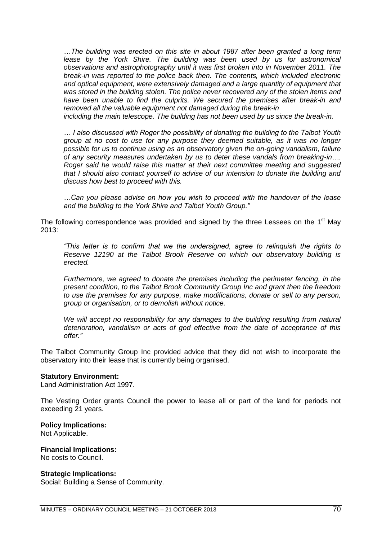*…The building was erected on this site in about 1987 after been granted a long term*  lease by the York Shire. The building was been used by us for astronomical *observations and astrophotography until it was first broken into in November 2011. The break-in was reported to the police back then. The contents, which included electronic and optical equipment, were extensively damaged and a large quantity of equipment that was stored in the building stolen. The police never recovered any of the stolen items and have been unable to find the culprits. We secured the premises after break-in and removed all the valuable equipment not damaged during the break-in*

*including the main telescope. The building has not been used by us since the break-in.*

*… I also discussed with Roger the possibility of donating the building to the Talbot Youth group at no cost to use for any purpose they deemed suitable, as it was no longer possible for us to continue using as an observatory given the on-going vandalism, failure of any security measures undertaken by us to deter these vandals from breaking-in…. Roger said he would raise this matter at their next committee meeting and suggested that I should also contact yourself to advise of our intension to donate the building and discuss how best to proceed with this.*

*…Can you please advise on how you wish to proceed with the handover of the lease and the building to the York Shire and Talbot Youth Group.‖*

The following correspondence was provided and signed by the three Lessees on the  $1<sup>st</sup>$  May 2013:

*―This letter is to confirm that we the undersigned, agree to relinquish the rights to Reserve 12190 at the Talbot Brook Reserve on which our observatory building is erected.*

*Furthermore, we agreed to donate the premises including the perimeter fencing, in the present condition, to the Talbot Brook Community Group Inc and grant then the freedom to use the premises for any purpose, make modifications, donate or sell to any person, group or organisation, or to demolish without notice.*

*We will accept no responsibility for any damages to the building resulting from natural deterioration, vandalism or acts of god effective from the date of acceptance of this offer.‖*

The Talbot Community Group Inc provided advice that they did not wish to incorporate the observatory into their lease that is currently being organised.

#### **Statutory Environment:**

Land Administration Act 1997.

The Vesting Order grants Council the power to lease all or part of the land for periods not exceeding 21 years.

#### **Policy Implications:**

Not Applicable.

# **Financial Implications:**

No costs to Council.

## **Strategic Implications:**

Social: Building a Sense of Community.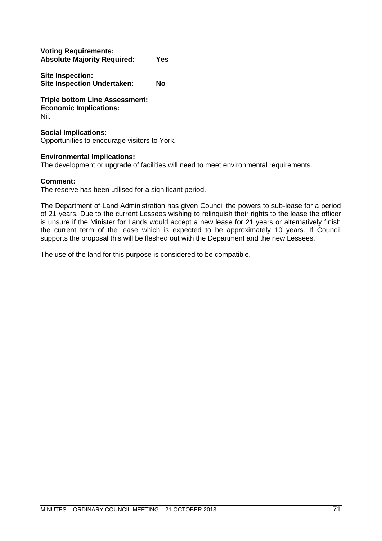| <b>Voting Requirements:</b>        |            |
|------------------------------------|------------|
| <b>Absolute Majority Required:</b> | <b>Yes</b> |

**Site Inspection: Site Inspection Undertaken: No**

**Triple bottom Line Assessment: Economic Implications:** Nil.

## **Social Implications:**

Opportunities to encourage visitors to York.

## **Environmental Implications:**

The development or upgrade of facilities will need to meet environmental requirements.

## **Comment:**

The reserve has been utilised for a significant period.

The Department of Land Administration has given Council the powers to sub-lease for a period of 21 years. Due to the current Lessees wishing to relinquish their rights to the lease the officer is unsure if the Minister for Lands would accept a new lease for 21 years or alternatively finish the current term of the lease which is expected to be approximately 10 years. If Council supports the proposal this will be fleshed out with the Department and the new Lessees.

The use of the land for this purpose is considered to be compatible.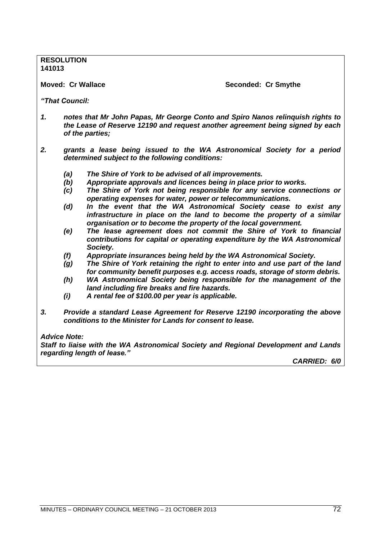**RESOLUTION 141013**

**Moved: Cr Wallace Seconded: Cr Smythe**

*"That Council:*

- *1. notes that Mr John Papas, Mr George Conto and Spiro Nanos relinquish rights to the Lease of Reserve 12190 and request another agreement being signed by each of the parties;*
- *2. grants a lease being issued to the WA Astronomical Society for a period determined subject to the following conditions:*
	- *(a) The Shire of York to be advised of all improvements.*
	- *(b) Appropriate approvals and licences being in place prior to works.*
	- *(c) The Shire of York not being responsible for any service connections or operating expenses for water, power or telecommunications.*
	- *(d) In the event that the WA Astronomical Society cease to exist any infrastructure in place on the land to become the property of a similar organisation or to become the property of the local government.*
	- *(e) The lease agreement does not commit the Shire of York to financial contributions for capital or operating expenditure by the WA Astronomical Society.*
	- *(f) Appropriate insurances being held by the WA Astronomical Society.*
	- *(g) The Shire of York retaining the right to enter into and use part of the land for community benefit purposes e.g. access roads, storage of storm debris.*
	- *(h) WA Astronomical Society being responsible for the management of the land including fire breaks and fire hazards.*
	- *(i) A rental fee of \$100.00 per year is applicable.*
- *3. Provide a standard Lease Agreement for Reserve 12190 incorporating the above conditions to the Minister for Lands for consent to lease.*

#### *Advice Note:*

*Staff to liaise with the WA Astronomical Society and Regional Development and Lands regarding length of lease."* 

*CARRIED: 6/0*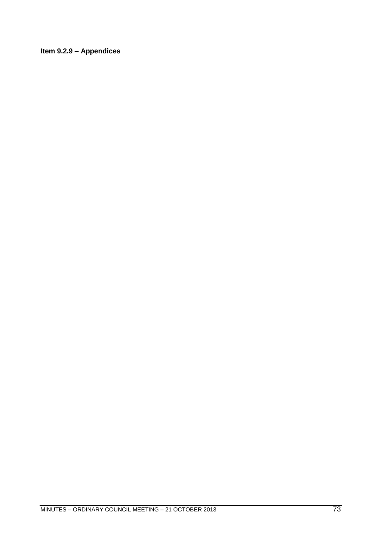### Item 9.2.9 - Appendices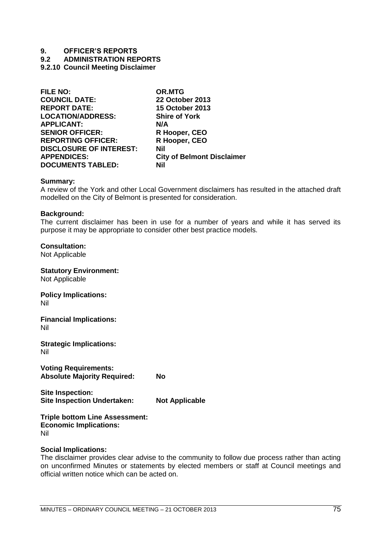**9.2 ADMINISTRATION REPORTS**

**9.2.10 Council Meeting Disclaimer**

| <b>FILE NO:</b>                | <b>OR.MTG</b>                     |
|--------------------------------|-----------------------------------|
| <b>COUNCIL DATE:</b>           | 22 October 2013                   |
| <b>REPORT DATE:</b>            | <b>15 October 2013</b>            |
| <b>LOCATION/ADDRESS:</b>       | <b>Shire of York</b>              |
| <b>APPLICANT:</b>              | N/A                               |
| <b>SENIOR OFFICER:</b>         | R Hooper, CEO                     |
| <b>REPORTING OFFICER:</b>      | R Hooper, CEO                     |
| <b>DISCLOSURE OF INTEREST:</b> | Nil                               |
| <b>APPENDICES:</b>             | <b>City of Belmont Disclaimer</b> |
| <b>DOCUMENTS TABLED:</b>       | Nil                               |
|                                |                                   |

### **Summary:**

A review of the York and other Local Government disclaimers has resulted in the attached draft modelled on the City of Belmont is presented for consideration.

### **Background:**

The current disclaimer has been in use for a number of years and while it has served its purpose it may be appropriate to consider other best practice models.

**Consultation:**

Not Applicable

**Statutory Environment:** Not Applicable **Policy Implications:** Nil **Financial Implications:** Nil

**Strategic Implications:** Nil

**Voting Requirements: Absolute Majority Required: No**

**Site Inspection: Site Inspection Undertaken: Not Applicable**

#### **Triple bottom Line Assessment: Economic Implications:**

Nil

### **Social Implications:**

The disclaimer provides clear advise to the community to follow due process rather than acting on unconfirmed Minutes or statements by elected members or staff at Council meetings and official written notice which can be acted on.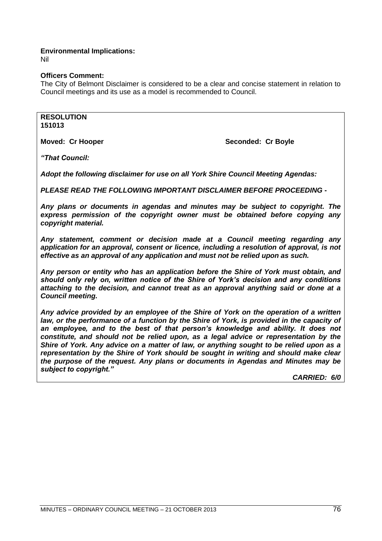### **Environmental Implications:**

Nil

### **Officers Comment:**

The City of Belmont Disclaimer is considered to be a clear and concise statement in relation to Council meetings and its use as a model is recommended to Council.

**RESOLUTION 151013**

**Moved: Cr Hooper Seconded: Cr Boyle Seconded: Cr Boyle** 

*"That Council:*

*Adopt the following disclaimer for use on all York Shire Council Meeting Agendas:*

*PLEASE READ THE FOLLOWING IMPORTANT DISCLAIMER BEFORE PROCEEDING* **-**

*Any plans or documents in agendas and minutes may be subject to copyright. The express permission of the copyright owner must be obtained before copying any copyright material.*

*Any statement, comment or decision made at a Council meeting regarding any application for an approval, consent or licence, including a resolution of approval, is not effective as an approval of any application and must not be relied upon as such.*

*Any person or entity who has an application before the Shire of York must obtain, and should only rely on, written notice of the Shire of York's decision and any conditions attaching to the decision, and cannot treat as an approval anything said or done at a Council meeting.*

*Any advice provided by an employee of the Shire of York on the operation of a written*  law, or the performance of a function by the Shire of York, is provided in the capacity of an employee, and to the best of that person's knowledge and ability. It does not *constitute, and should not be relied upon, as a legal advice or representation by the Shire of York. Any advice on a matter of law, or anything sought to be relied upon as a representation by the Shire of York should be sought in writing and should make clear the purpose of the request. Any plans or documents in Agendas and Minutes may be subject to copyright."*

*CARRIED: 6/0*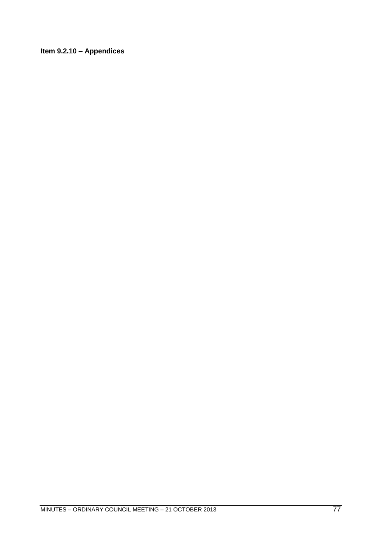Item 9.2.10 - Appendices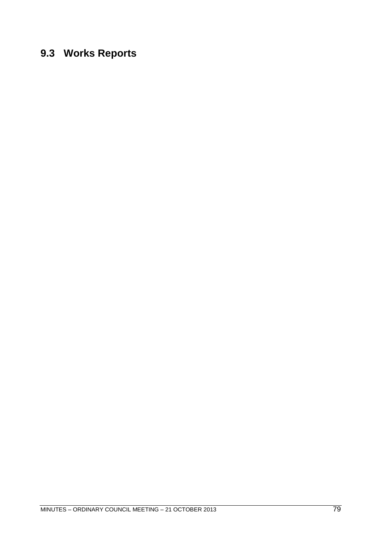# **9.3 Works Reports**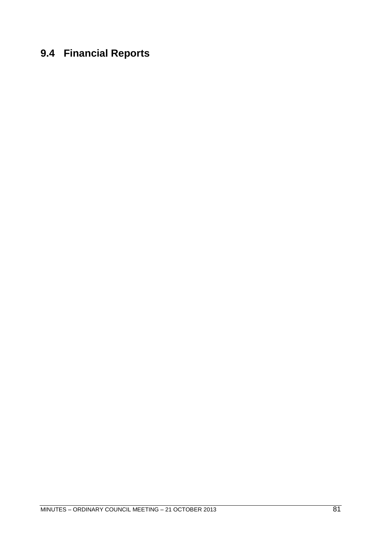# **9.4 Financial Reports**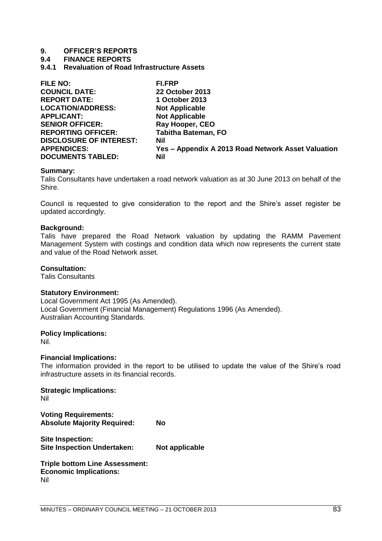**9.4 FINANCE REPORTS**

**9.4.1 Revaluation of Road Infrastructure Assets**

| <b>FILE NO:</b>                | FI.FRP                                             |
|--------------------------------|----------------------------------------------------|
| <b>COUNCIL DATE:</b>           | <b>22 October 2013</b>                             |
| <b>REPORT DATE:</b>            | 1 October 2013                                     |
| <b>LOCATION/ADDRESS:</b>       | <b>Not Applicable</b>                              |
| <b>APPLICANT:</b>              | <b>Not Applicable</b>                              |
| <b>SENIOR OFFICER:</b>         | Ray Hooper, CEO                                    |
| <b>REPORTING OFFICER:</b>      | <b>Tabitha Bateman, FO</b>                         |
| <b>DISCLOSURE OF INTEREST:</b> | <b>Nil</b>                                         |
| <b>APPENDICES:</b>             | Yes - Appendix A 2013 Road Network Asset Valuation |
| <b>DOCUMENTS TABLED:</b>       | Nil                                                |

### **Summary:**

Talis Consultants have undertaken a road network valuation as at 30 June 2013 on behalf of the Shire.

Council is requested to give consideration to the report and the Shire's asset register be updated accordingly.

### **Background:**

Talis have prepared the Road Network valuation by updating the RAMM Pavement Management System with costings and condition data which now represents the current state and value of the Road Network asset.

### **Consultation:**

Talis Consultants

### **Statutory Environment:**

Local Government Act 1995 (As Amended). Local Government (Financial Management) Regulations 1996 (As Amended). Australian Accounting Standards.

### **Policy Implications:**

Nil.

### **Financial Implications:**

The information provided in the report to be utilised to update the value of the Shire's road infrastructure assets in its financial records.

**Strategic Implications:**  Nil **Voting Requirements: Absolute Majority Required: No**

**Site Inspection: Site Inspection Undertaken: Not applicable**

**Triple bottom Line Assessment: Economic Implications:** Nil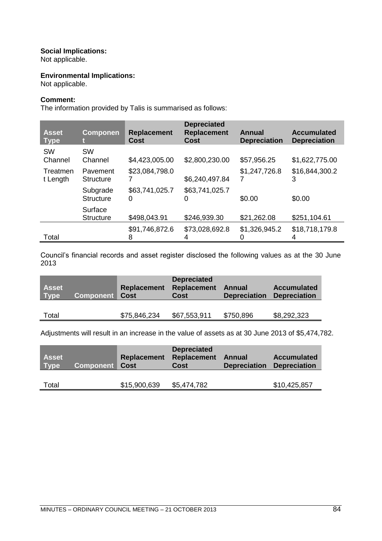### **Social Implications:**

Not applicable.

### **Environmental Implications:**

Not applicable.

### **Comment:**

The information provided by Talis is summarised as follows:

| <b>Asset</b><br><b>Type</b> | <b>Componen</b>              | <b>Replacement</b><br>Cost | <b>Depreciated</b><br><b>Replacement</b><br>Cost | <b>Annual</b><br><b>Depreciation</b> | <b>Accumulated</b><br><b>Depreciation</b> |
|-----------------------------|------------------------------|----------------------------|--------------------------------------------------|--------------------------------------|-------------------------------------------|
| <b>SW</b><br>Channel        | <b>SW</b><br>Channel         | \$4,423,005.00             | \$2,800,230.00                                   | \$57,956.25                          | \$1,622,775.00                            |
| Treatmen<br>t Length        | Pavement<br><b>Structure</b> | \$23,084,798.0             | \$6,240,497.84                                   | \$1,247,726.8                        | \$16,844,300.2<br>3                       |
|                             | Subgrade<br><b>Structure</b> | \$63,741,025.7<br>0        | \$63,741,025.7<br>O                              | \$0.00                               | \$0.00                                    |
|                             | Surface<br><b>Structure</b>  | \$498,043.91               | \$246,939.30                                     | \$21,262.08                          | \$251,104.61                              |
| Total                       |                              | \$91,746,872.6<br>8        | \$73,028,692.8                                   | \$1,326,945.2                        | \$18,718,179.8<br>4                       |

Council's financial records and asset register disclosed the following values as at the 30 June 2013

| <b>Asset</b><br><b>Type</b> | <b>Component Cost</b> | <b>Replacement</b> | <b>Depreciated</b><br><b>Replacement</b><br><b>Cost</b> | Annual<br><b>Depreciation</b> | <b>Accumulated</b><br><b>Depreciation</b> |
|-----------------------------|-----------------------|--------------------|---------------------------------------------------------|-------------------------------|-------------------------------------------|
| Total                       |                       | \$75,846,234       | \$67,553,911                                            | \$750,896                     | \$8,292,323                               |

Adjustments will result in an increase in the value of assets as at 30 June 2013 of \$5,474,782.

| Asset<br><b>Type</b> | <b>Component Cost</b> | <b>Replacement</b> | <b>Depreciated</b><br><b>Replacement</b><br>Cost | Annual<br><b>Depreciation</b> | <b>Accumulated</b><br><b>Depreciation</b> |
|----------------------|-----------------------|--------------------|--------------------------------------------------|-------------------------------|-------------------------------------------|
| Total                |                       | \$15,900,639       | \$5,474,782                                      |                               | \$10,425,857                              |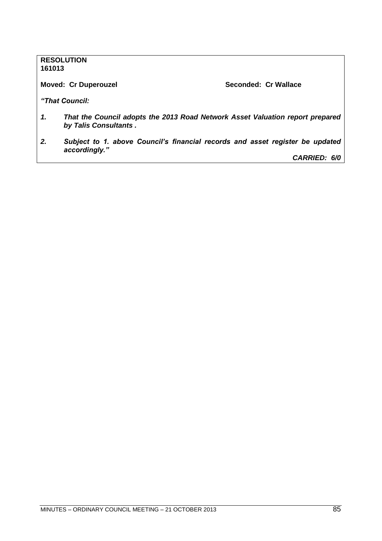### **RESOLUTION 161013**

### **Moved: Cr Duperouzel Seconded: Cr Wallace**

*"That Council:*

- *1. That the Council adopts the 2013 Road Network Asset Valuation report prepared by Talis Consultants .*
- *2. Subject to 1. above Council's financial records and asset register be updated accordingly." CARRIED: 6/0*

MINUTES – ORDINARY COUNCIL MEETING – 21 OCTOBER 2013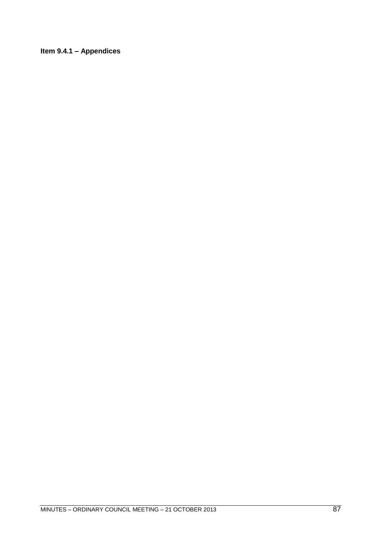Item 9.4.1 - Appendices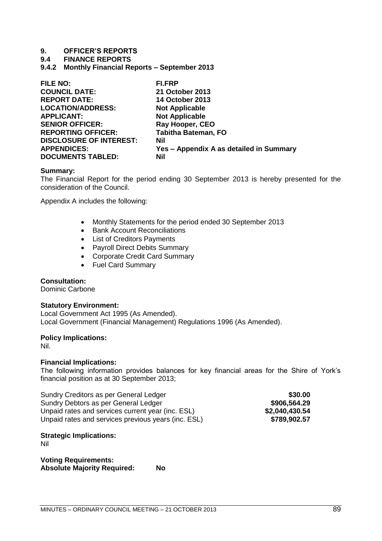**9.4 FINANCE REPORTS**

**9.4.2 Monthly Financial Reports – September 2013**

| <b>FILE NO:</b>                | <b>FI.FRP</b>                           |
|--------------------------------|-----------------------------------------|
| <b>COUNCIL DATE:</b>           | 21 October 2013                         |
| <b>REPORT DATE:</b>            | <b>14 October 2013</b>                  |
| <b>LOCATION/ADDRESS:</b>       | <b>Not Applicable</b>                   |
| <b>APPLICANT:</b>              | <b>Not Applicable</b>                   |
| <b>SENIOR OFFICER:</b>         | Ray Hooper, CEO                         |
| <b>REPORTING OFFICER:</b>      | <b>Tabitha Bateman, FO</b>              |
| <b>DISCLOSURE OF INTEREST:</b> | <b>Nil</b>                              |
| <b>APPENDICES:</b>             | Yes - Appendix A as detailed in Summary |
| <b>DOCUMENTS TABLED:</b>       | Nil                                     |

### **Summary:**

The Financial Report for the period ending 30 September 2013 is hereby presented for the consideration of the Council.

Appendix A includes the following:

- Monthly Statements for the period ended 30 September 2013
- Bank Account Reconciliations
- List of Creditors Payments
- Payroll Direct Debits Summary
- Corporate Credit Card Summary
- Fuel Card Summary

### **Consultation:**

Dominic Carbone

### **Statutory Environment:**

Local Government Act 1995 (As Amended). Local Government (Financial Management) Regulations 1996 (As Amended).

### **Policy Implications:**

Nil.

### **Financial Implications:**

The following information provides balances for key financial areas for the Shire of York's financial position as at 30 September 2013;

| Sundry Creditors as per General Ledger              | \$30.00        |
|-----------------------------------------------------|----------------|
| Sundry Debtors as per General Ledger                | \$906,564.29   |
| Unpaid rates and services current year (inc. ESL)   | \$2,040,430.54 |
| Unpaid rates and services previous years (inc. ESL) | \$789,902.57   |

### **Strategic Implications:**

Nil

**Voting Requirements: Absolute Majority Required: No**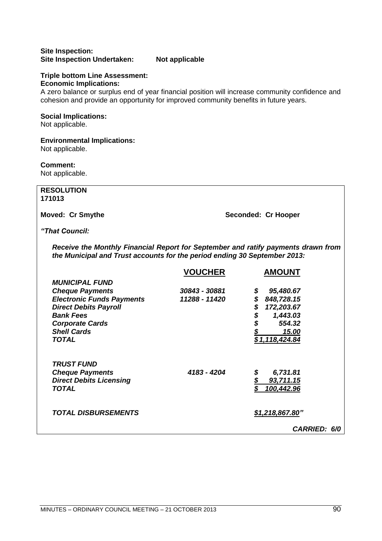### **Site Inspection: Site Inspection Undertaken: Not applicable**

### **Triple bottom Line Assessment: Economic Implications:**

A zero balance or surplus end of year financial position will increase community confidence and cohesion and provide an opportunity for improved community benefits in future years.

### **Social Implications:**

Not applicable.

### **Environmental Implications:**

Not applicable.

### **Comment:**

Not applicable.

### **RESOLUTION 171013**

**Moved: Cr Smythe Seconded: Cr Hooper** 

### *"That Council:*

*Receive the Monthly Financial Report for September and ratify payments drawn from the Municipal and Trust accounts for the period ending 30 September 2013:*

|                                  | <b>VOUCHER</b> | <b>AMOUNT</b>       |
|----------------------------------|----------------|---------------------|
| <b>MUNICIPAL FUND</b>            |                |                     |
| <b>Cheque Payments</b>           | 30843 - 30881  | \$<br>95,480.67     |
| <b>Electronic Funds Payments</b> | 11288 - 11420  | \$<br>848,728.15    |
| <b>Direct Debits Payroll</b>     |                | \$<br>172,203.67    |
| <b>Bank Fees</b>                 |                | \$<br>1,443.03      |
| <b>Corporate Cards</b>           |                | \$<br>554.32        |
| <b>Shell Cards</b>               |                | 15.00               |
| <b>TOTAL</b>                     |                | \$1,118,424.84      |
|                                  |                |                     |
| <b>TRUST FUND</b>                |                |                     |
| <b>Cheque Payments</b>           | 4183 - 4204    | \$<br>6,731.81      |
| <b>Direct Debits Licensing</b>   |                | \$<br>93,711.15     |
| <b>TOTAL</b>                     |                | 100,442.96          |
|                                  |                |                     |
|                                  |                |                     |
| <b>TOTAL DISBURSEMENTS</b>       |                | \$1,218,867.80"     |
|                                  |                | <b>CARRIED: 6/0</b> |
|                                  |                |                     |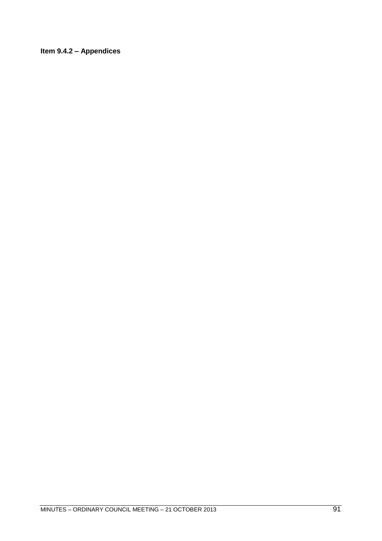### Item 9.4.2 - Appendices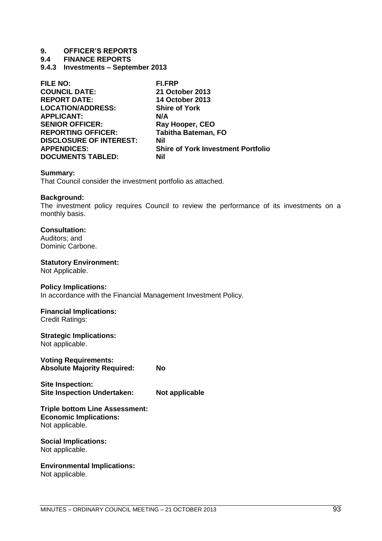**9.4 FINANCE REPORTS**

**9.4.3 Investments – September 2013**

| <b>FILE NO:</b>                | <b>FI.FRP</b>                             |
|--------------------------------|-------------------------------------------|
| <b>COUNCIL DATE:</b>           | 21 October 2013                           |
| <b>REPORT DATE:</b>            | <b>14 October 2013</b>                    |
| <b>LOCATION/ADDRESS:</b>       | <b>Shire of York</b>                      |
| <b>APPLICANT:</b>              | N/A                                       |
| <b>SENIOR OFFICER:</b>         | Ray Hooper, CEO                           |
| <b>REPORTING OFFICER:</b>      | <b>Tabitha Bateman, FO</b>                |
| <b>DISCLOSURE OF INTEREST:</b> | Nil                                       |
| <b>APPENDICES:</b>             | <b>Shire of York Investment Portfolio</b> |
| <b>DOCUMENTS TABLED:</b>       | Nil                                       |

### **Summary:**

That Council consider the investment portfolio as attached.

### **Background:**

The investment policy requires Council to review the performance of its investments on a monthly basis.

### **Consultation:**

Auditors; and Dominic Carbone.

### **Statutory Environment:**

Not Applicable.

### **Policy Implications:**

In accordance with the Financial Management Investment Policy.

### **Financial Implications:**

Credit Ratings:

## **Strategic Implications:**

Not applicable.

### **Voting Requirements: Absolute Majority Required: No**

**Site Inspection: Site Inspection Undertaken: Not applicable**

### **Triple bottom Line Assessment: Economic Implications:** Not applicable.

### **Social Implications:** Not applicable.

## **Environmental Implications:**

Not applicable.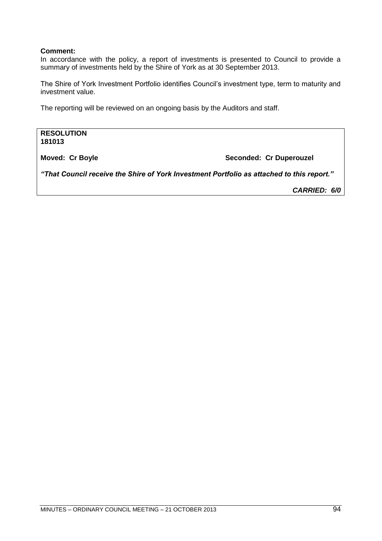### **Comment:**

In accordance with the policy, a report of investments is presented to Council to provide a summary of investments held by the Shire of York as at 30 September 2013.

The Shire of York Investment Portfolio identifies Council's investment type, term to maturity and investment value.

The reporting will be reviewed on an ongoing basis by the Auditors and staff.

**RESOLUTION 181013**

**Moved: Cr Boyle Seconded: Cr Duperouzel** 

*"That Council receive the Shire of York Investment Portfolio as attached to this report."*

*CARRIED: 6/0*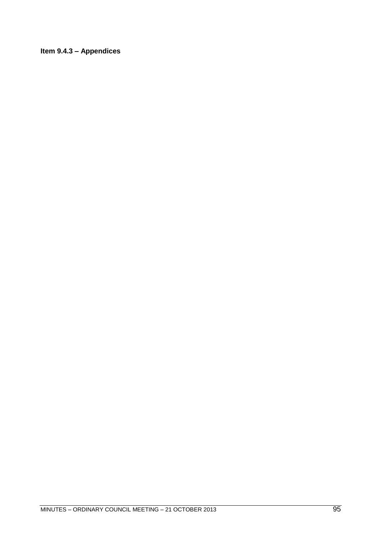### Item 9.4.3 - Appendices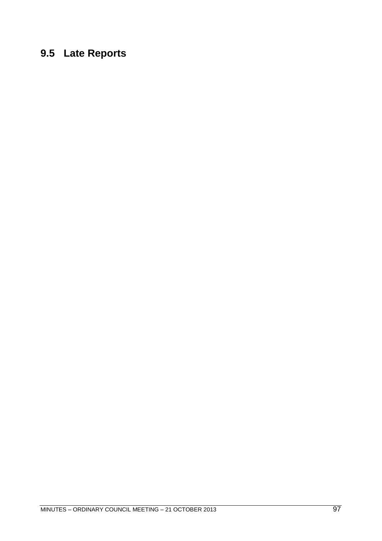# **9.5 Late Reports**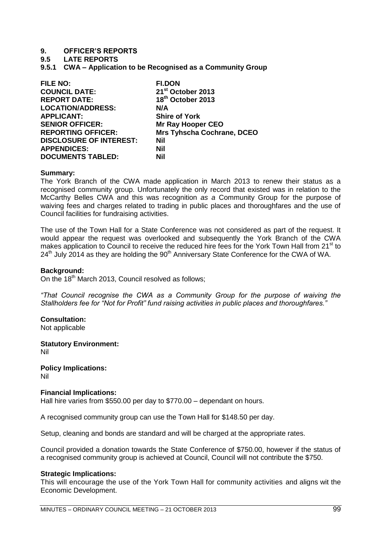### **9.5 LATE REPORTS**

**9.5.1 CWA – Application to be Recognised as a Community Group**

| <b>FILE NO:</b>                | <b>FI.DON</b>                     |
|--------------------------------|-----------------------------------|
| <b>COUNCIL DATE:</b>           | 21 <sup>st</sup> October 2013     |
| <b>REPORT DATE:</b>            | 18th October 2013                 |
| <b>LOCATION/ADDRESS:</b>       | N/A                               |
| <b>APPLICANT:</b>              | <b>Shire of York</b>              |
| <b>SENIOR OFFICER:</b>         | <b>Mr Ray Hooper CEO</b>          |
| <b>REPORTING OFFICER:</b>      | <b>Mrs Tyhscha Cochrane, DCEO</b> |
| <b>DISCLOSURE OF INTEREST:</b> | Nil                               |
| <b>APPENDICES:</b>             | Nil                               |
| <b>DOCUMENTS TABLED:</b>       | Nil                               |

### **Summary:**

The York Branch of the CWA made application in March 2013 to renew their status as a recognised community group. Unfortunately the only record that existed was in relation to the McCarthy Belles CWA and this was recognition *as a* Community Group for the purpose of waiving fees and charges related to trading in public places and thoroughfares and the use of Council facilities for fundraising activities.

The use of the Town Hall for a State Conference was not considered as part of the request. It would appear the request was overlooked and subsequently the York Branch of the CWA makes application to Council to receive the reduced hire fees for the York Town Hall from 21<sup>st</sup> to  $24<sup>th</sup>$  July 2014 as they are holding the  $90<sup>th</sup>$  Anniversary State Conference for the CWA of WA.

#### **Background:**

On the 18<sup>th</sup> March 2013, Council resolved as follows;

*―That Council recognise the CWA as a Community Group for the purpose of waiving the*  Stallholders fee for "Not for Profit" fund raising activities in public places and thoroughfares."

### **Consultation:**

Not applicable

**Statutory Environment:** Nil

**Policy Implications:** Nil

### **Financial Implications:**

Hall hire varies from \$550.00 per day to \$770.00 – dependant on hours.

A recognised community group can use the Town Hall for \$148.50 per day.

Setup, cleaning and bonds are standard and will be charged at the appropriate rates.

Council provided a donation towards the State Conference of \$750.00, however if the status of a recognised community group is achieved at Council, Council will not contribute the \$750.

### **Strategic Implications:**

This will encourage the use of the York Town Hall for community activities and aligns wit the Economic Development.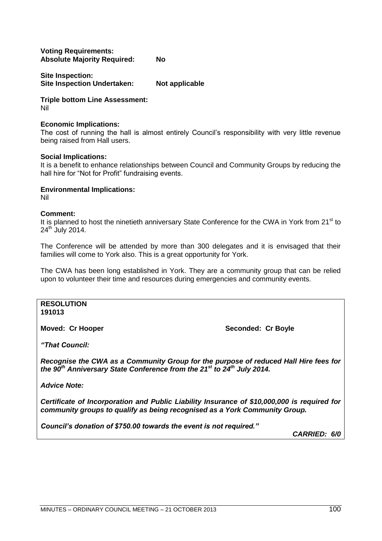### **Voting Requirements: Absolute Majority Required: No**

**Site Inspection: Site Inspection Undertaken: Not applicable**

**Triple bottom Line Assessment:** Nil

### **Economic Implications:**

The cost of running the hall is almost entirely Council's responsibility with very little revenue being raised from Hall users.

### **Social Implications:**

It is a benefit to enhance relationships between Council and Community Groups by reducing the hall hire for "Not for Profit" fundraising events.

### **Environmental Implications:**

Nil

### **Comment:**

It is planned to host the ninetieth anniversary State Conference for the CWA in York from 21<sup>st</sup> to 24<sup>th</sup> July 2014.

The Conference will be attended by more than 300 delegates and it is envisaged that their families will come to York also. This is a great opportunity for York.

The CWA has been long established in York. They are a community group that can be relied upon to volunteer their time and resources during emergencies and community events.

**RESOLUTION 191013**

**Moved: Cr Hooper Seconded: Cr Boyle** 

*"That Council:*

*Recognise the CWA as a Community Group for the purpose of reduced Hall Hire fees for the 90th Anniversary State Conference from the 21st to 24th July 2014.*

*Advice Note:*

*Certificate of Incorporation and Public Liability Insurance of \$10,000,000 is required for community groups to qualify as being recognised as a York Community Group.*

*Council's donation of \$750.00 towards the event is not required."*

*CARRIED: 6/0*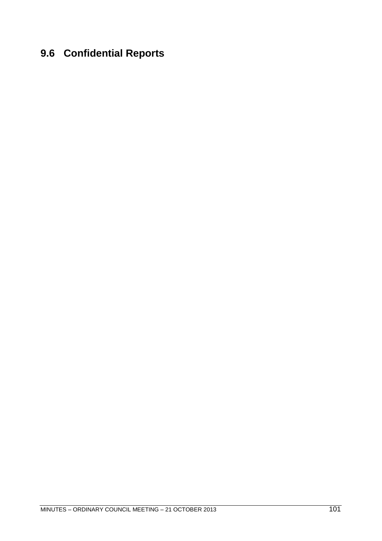# **9.6 Confidential Reports**